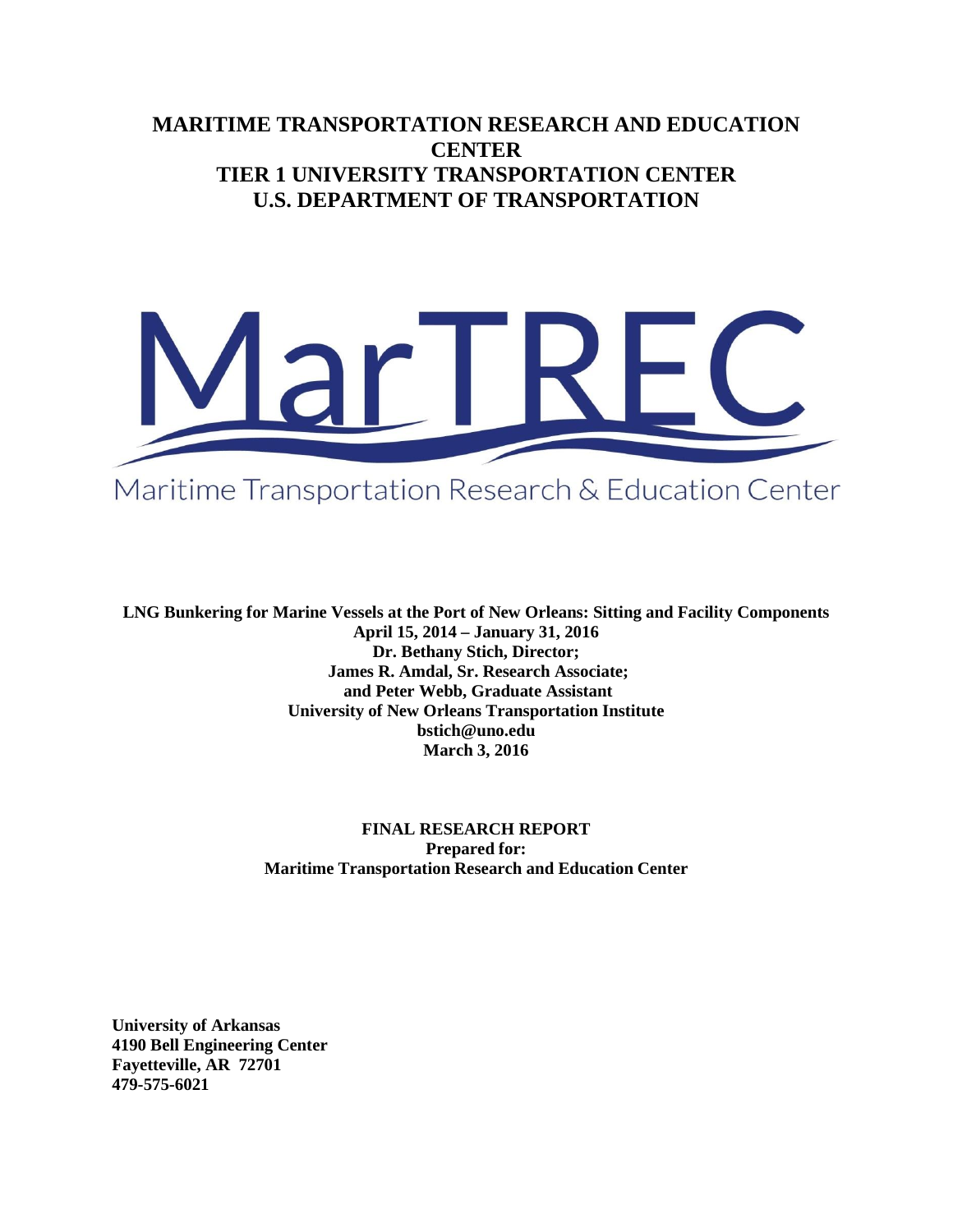# **MARITIME TRANSPORTATION RESEARCH AND EDUCATION CENTER TIER 1 UNIVERSITY TRANSPORTATION CENTER U.S. DEPARTMENT OF TRANSPORTATION**



Maritime Transportation Research & Education Center

**LNG Bunkering for Marine Vessels at the Port of New Orleans: Sitting and Facility Components April 15, 2014 – January 31, 2016 Dr. Bethany Stich, Director; James R. Amdal, Sr. Research Associate; and Peter Webb, Graduate Assistant University of New Orleans Transportation Institute bstich@uno.edu March 3, 2016**

> **FINAL RESEARCH REPORT Prepared for: Maritime Transportation Research and Education Center**

**University of Arkansas 4190 Bell Engineering Center Fayetteville, AR 72701 479-575-6021**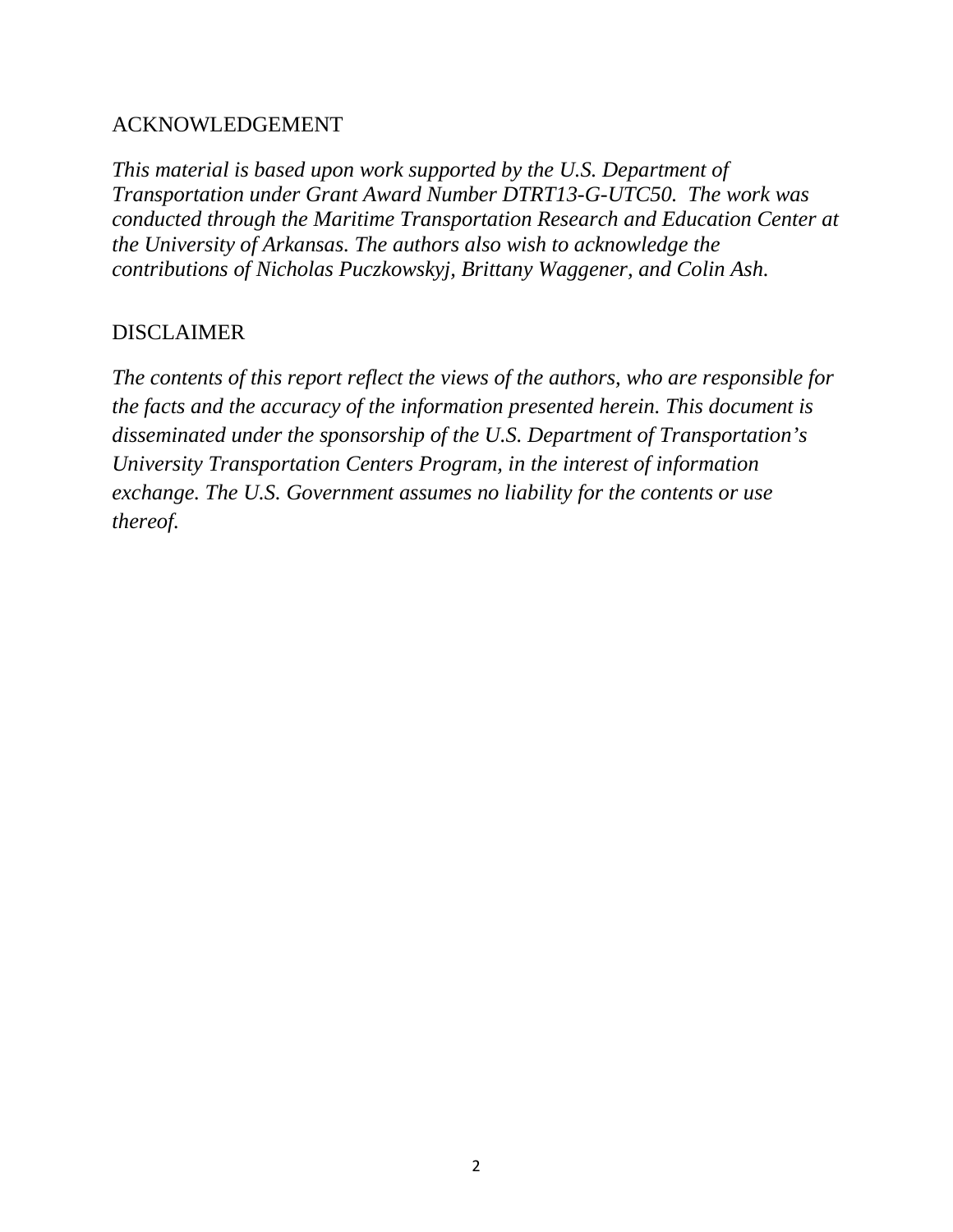## ACKNOWLEDGEMENT

*This material is based upon work supported by the U.S. Department of Transportation under Grant Award Number DTRT13-G-UTC50. The work was conducted through the Maritime Transportation Research and Education Center at the University of Arkansas. The authors also wish to acknowledge the contributions of Nicholas Puczkowskyj, Brittany Waggener, and Colin Ash.*

## DISCLAIMER

*The contents of this report reflect the views of the authors, who are responsible for the facts and the accuracy of the information presented herein. This document is disseminated under the sponsorship of the U.S. Department of Transportation's University Transportation Centers Program, in the interest of information exchange. The U.S. Government assumes no liability for the contents or use thereof.*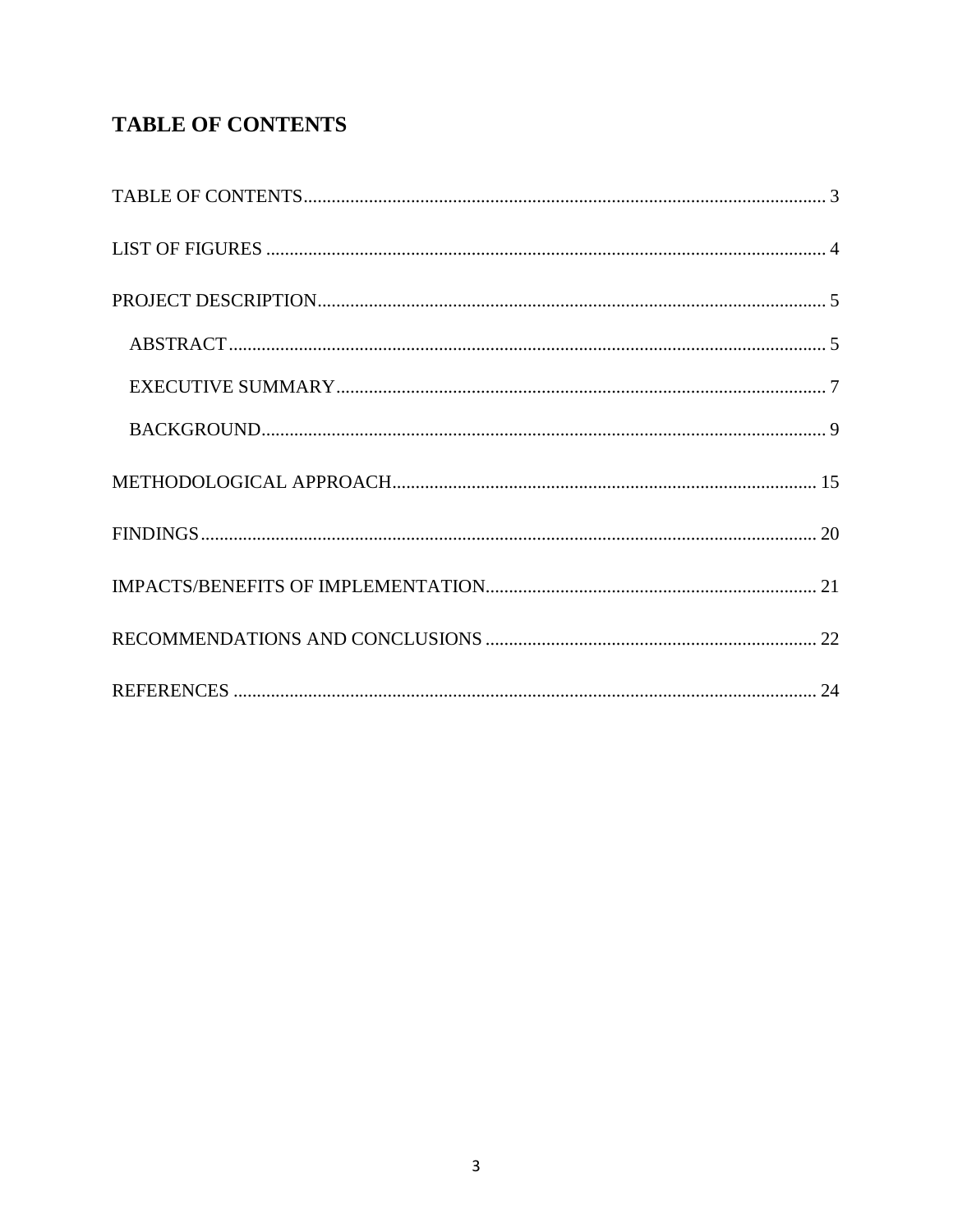# **TABLE OF CONTENTS**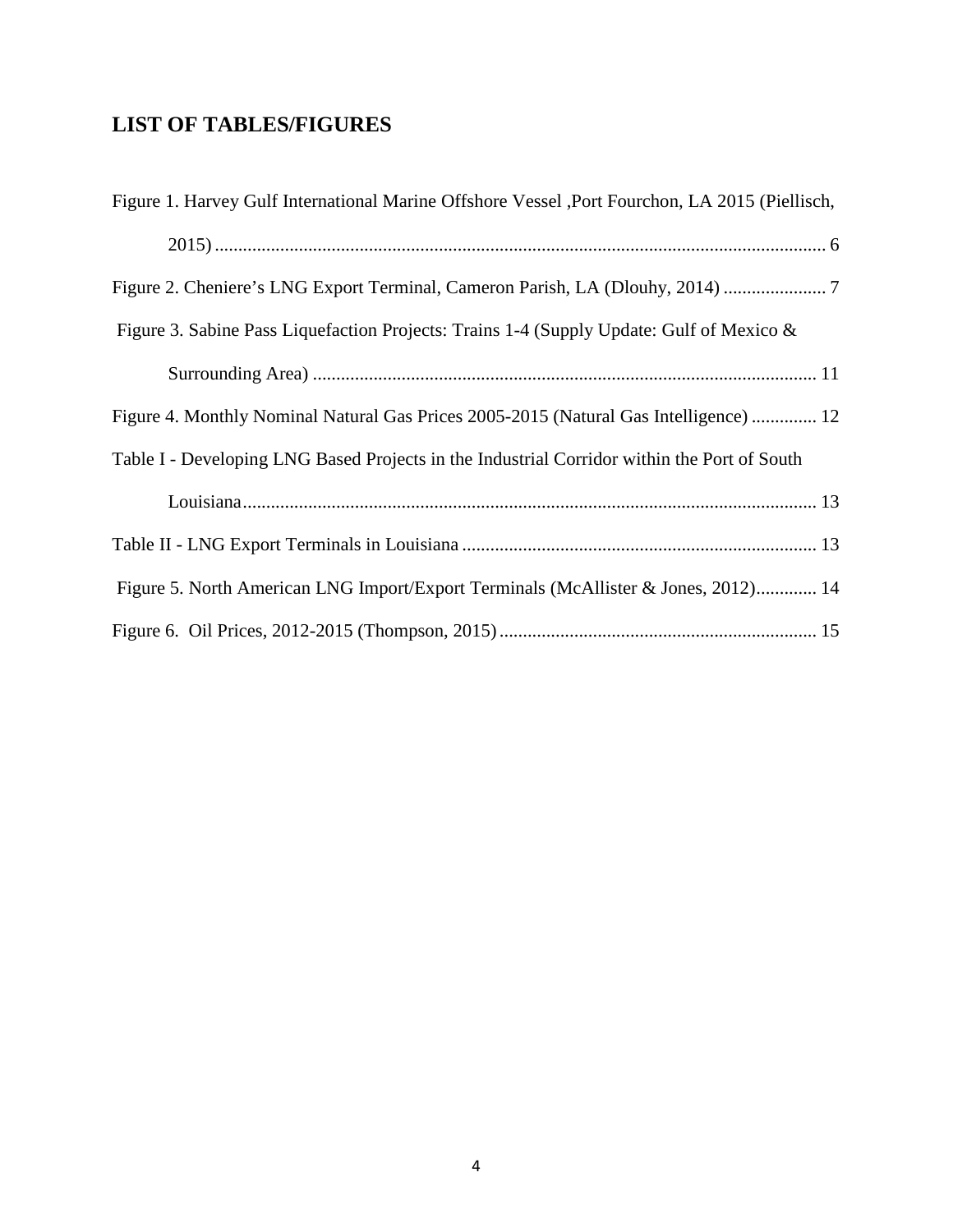# **LIST OF TABLES/FIGURES**

| Figure 1. Harvey Gulf International Marine Offshore Vessel , Port Fourchon, LA 2015 (Piellisch, |
|-------------------------------------------------------------------------------------------------|
|                                                                                                 |
| Figure 2. Cheniere's LNG Export Terminal, Cameron Parish, LA (Dlouhy, 2014)                     |
| Figure 3. Sabine Pass Liquefaction Projects: Trains 1-4 (Supply Update: Gulf of Mexico &        |
|                                                                                                 |
| Figure 4. Monthly Nominal Natural Gas Prices 2005-2015 (Natural Gas Intelligence)  12           |
| Table I - Developing LNG Based Projects in the Industrial Corridor within the Port of South     |
|                                                                                                 |
|                                                                                                 |
| Figure 5. North American LNG Import/Export Terminals (McAllister & Jones, 2012) 14              |
|                                                                                                 |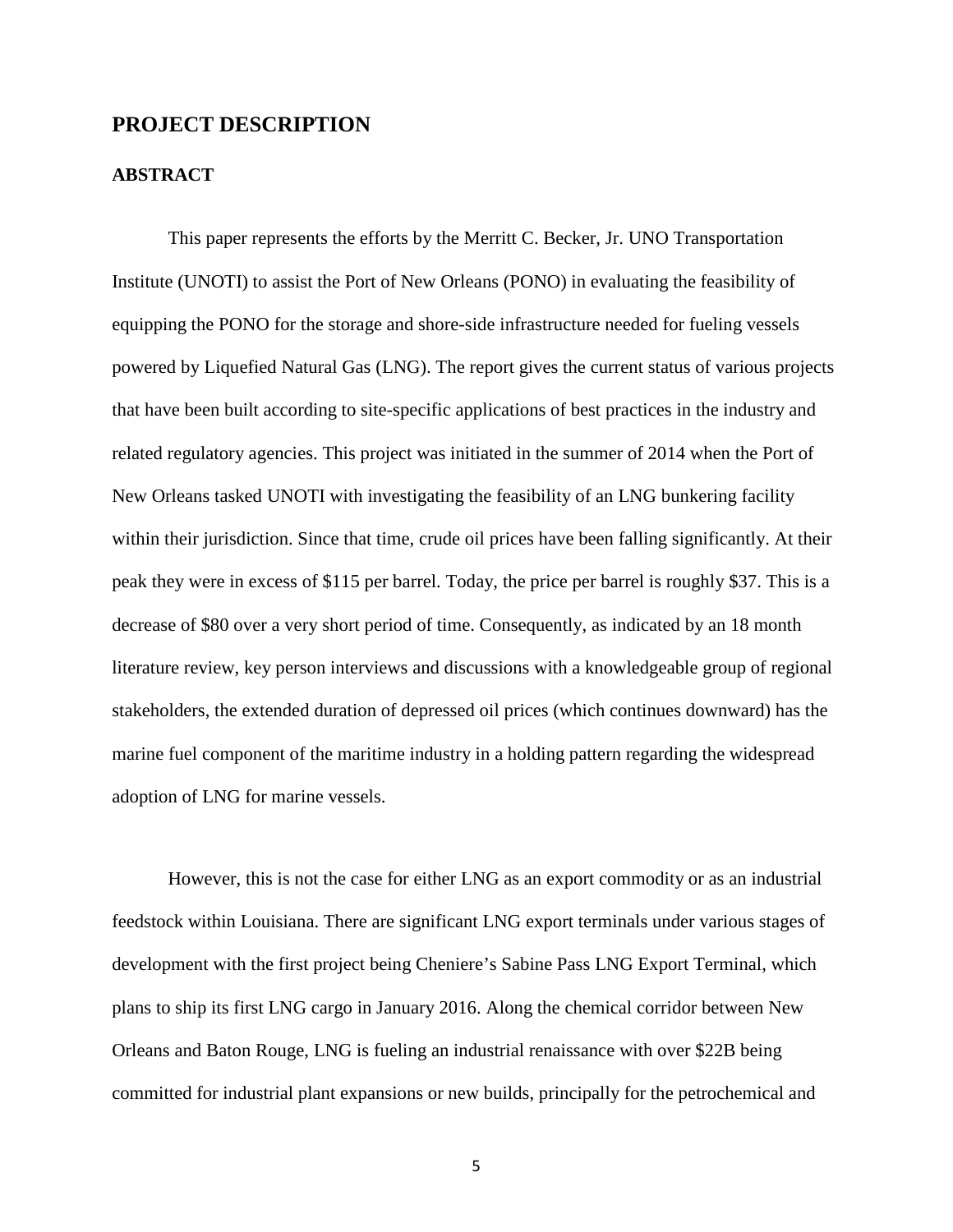### **PROJECT DESCRIPTION**

#### **ABSTRACT**

This paper represents the efforts by the Merritt C. Becker, Jr. UNO Transportation Institute (UNOTI) to assist the Port of New Orleans (PONO) in evaluating the feasibility of equipping the PONO for the storage and shore-side infrastructure needed for fueling vessels powered by Liquefied Natural Gas (LNG). The report gives the current status of various projects that have been built according to site-specific applications of best practices in the industry and related regulatory agencies. This project was initiated in the summer of 2014 when the Port of New Orleans tasked UNOTI with investigating the feasibility of an LNG bunkering facility within their jurisdiction. Since that time, crude oil prices have been falling significantly. At their peak they were in excess of \$115 per barrel. Today, the price per barrel is roughly \$37. This is a decrease of \$80 over a very short period of time. Consequently, as indicated by an 18 month literature review, key person interviews and discussions with a knowledgeable group of regional stakeholders, the extended duration of depressed oil prices (which continues downward) has the marine fuel component of the maritime industry in a holding pattern regarding the widespread adoption of LNG for marine vessels.

However, this is not the case for either LNG as an export commodity or as an industrial feedstock within Louisiana. There are significant LNG export terminals under various stages of development with the first project being Cheniere's Sabine Pass LNG Export Terminal, which plans to ship its first LNG cargo in January 2016. Along the chemical corridor between New Orleans and Baton Rouge, LNG is fueling an industrial renaissance with over \$22B being committed for industrial plant expansions or new builds, principally for the petrochemical and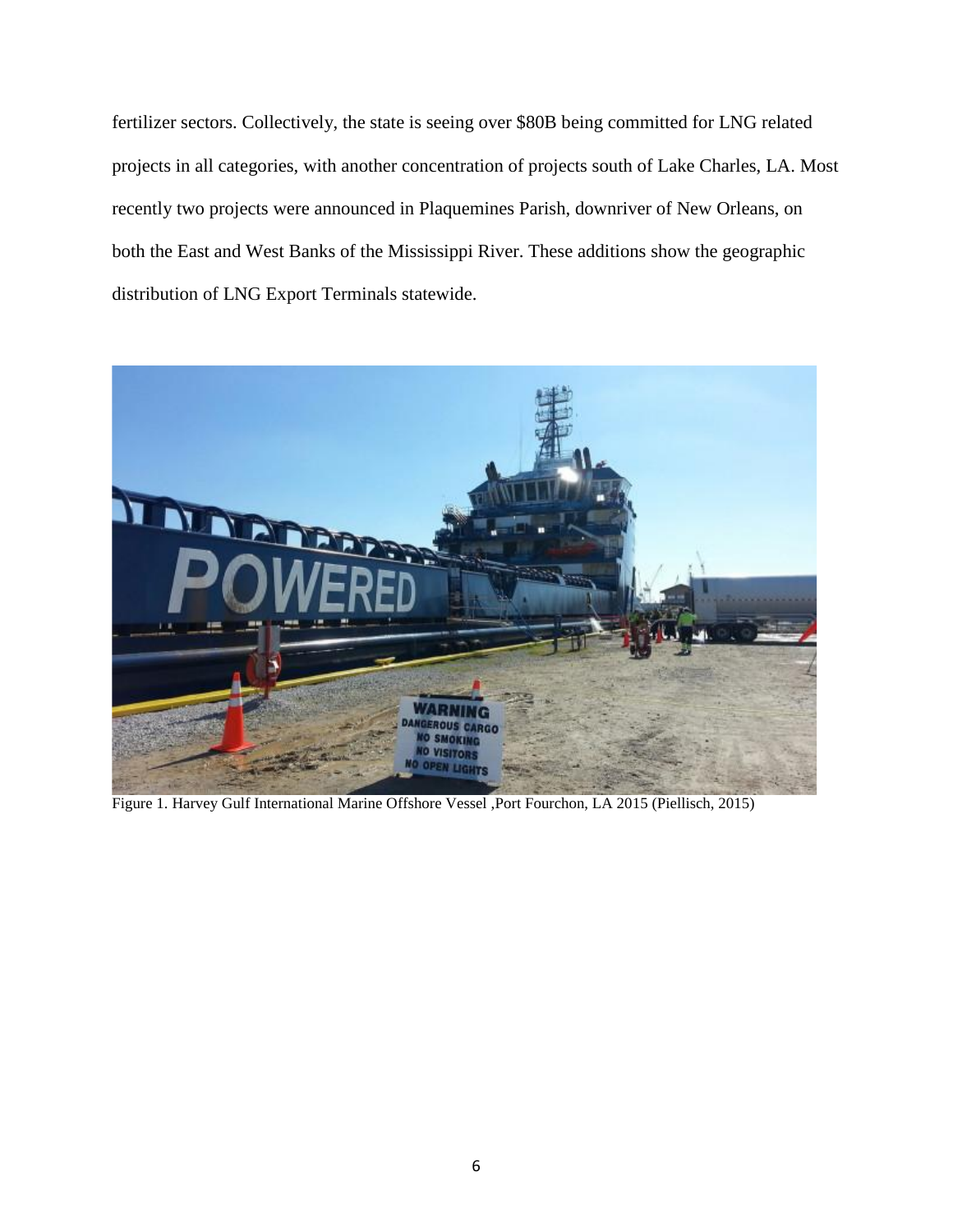fertilizer sectors. Collectively, the state is seeing over \$80B being committed for LNG related projects in all categories, with another concentration of projects south of Lake Charles, LA. Most recently two projects were announced in Plaquemines Parish, downriver of New Orleans, on both the East and West Banks of the Mississippi River. These additions show the geographic distribution of LNG Export Terminals statewide.



Figure 1. Harvey Gulf International Marine Offshore Vessel ,Port Fourchon, LA 2015 (Piellisch, 2015)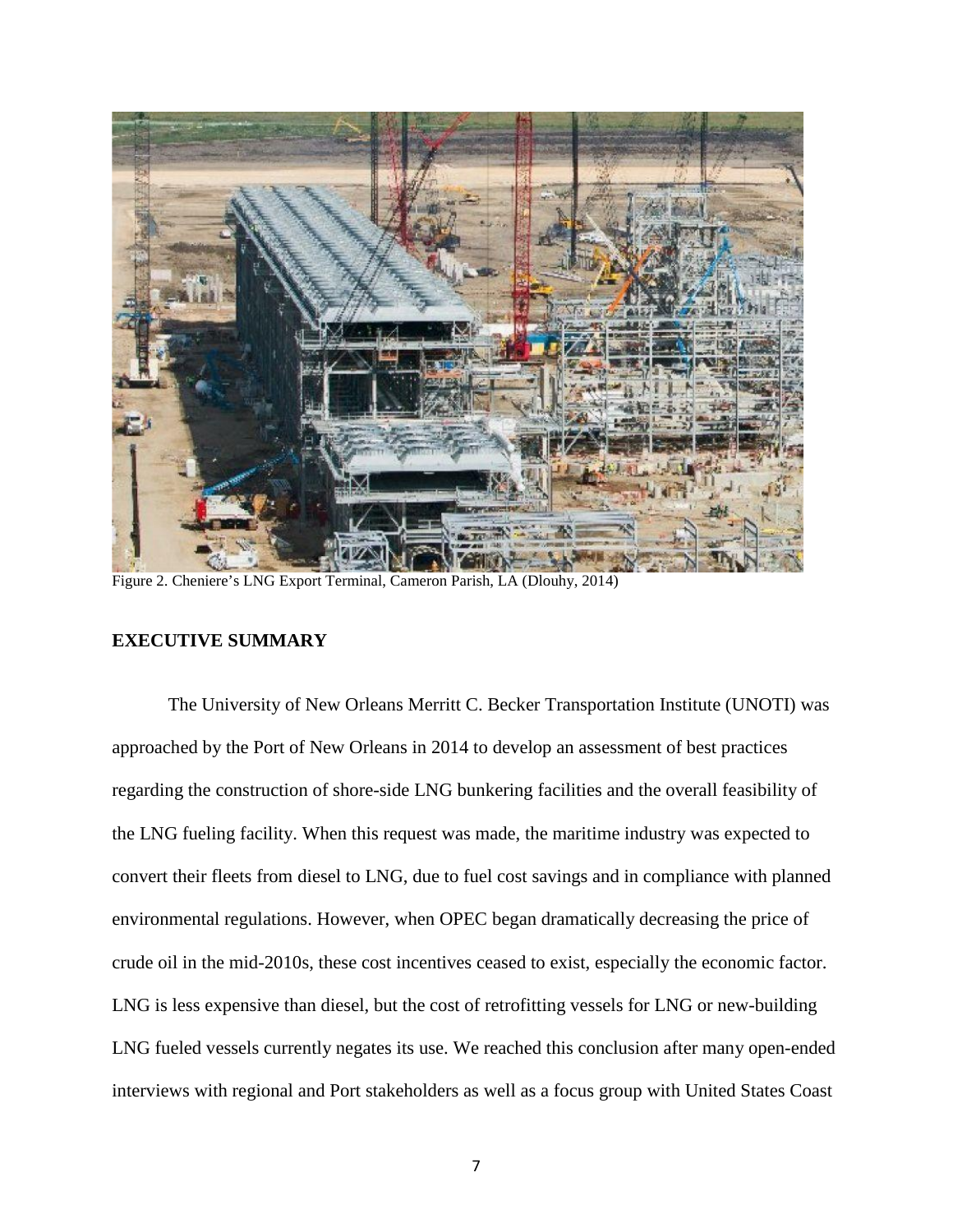

Figure 2. Cheniere's LNG Export Terminal, Cameron Parish, LA (Dlouhy, 2014)

### **EXECUTIVE SUMMARY**

The University of New Orleans Merritt C. Becker Transportation Institute (UNOTI) was approached by the Port of New Orleans in 2014 to develop an assessment of best practices regarding the construction of shore-side LNG bunkering facilities and the overall feasibility of the LNG fueling facility. When this request was made, the maritime industry was expected to convert their fleets from diesel to LNG, due to fuel cost savings and in compliance with planned environmental regulations. However, when OPEC began dramatically decreasing the price of crude oil in the mid-2010s, these cost incentives ceased to exist, especially the economic factor. LNG is less expensive than diesel, but the cost of retrofitting vessels for LNG or new-building LNG fueled vessels currently negates its use. We reached this conclusion after many open-ended interviews with regional and Port stakeholders as well as a focus group with United States Coast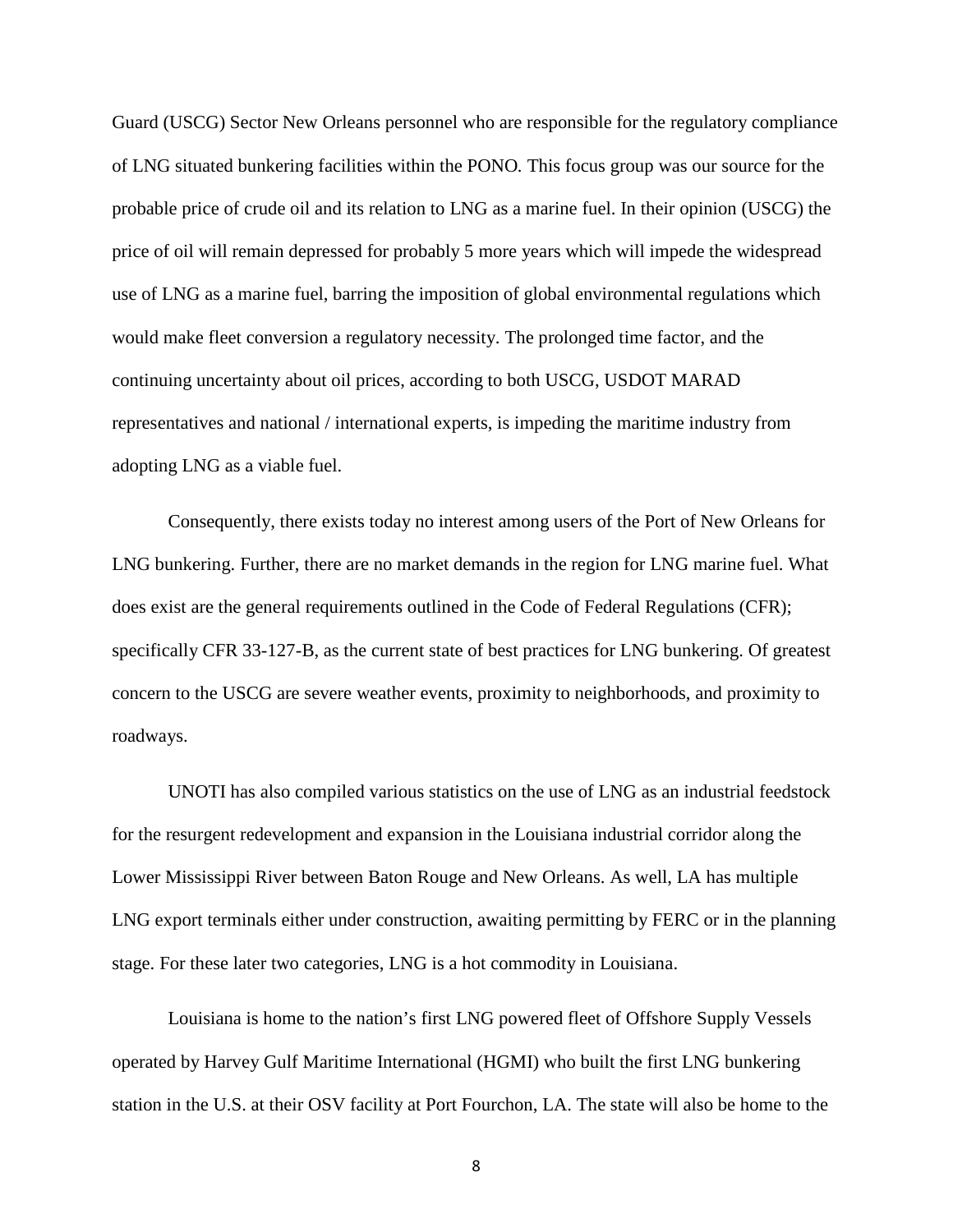Guard (USCG) Sector New Orleans personnel who are responsible for the regulatory compliance of LNG situated bunkering facilities within the PONO*.* This focus group was our source for the probable price of crude oil and its relation to LNG as a marine fuel. In their opinion (USCG) the price of oil will remain depressed for probably 5 more years which will impede the widespread use of LNG as a marine fuel, barring the imposition of global environmental regulations which would make fleet conversion a regulatory necessity. The prolonged time factor, and the continuing uncertainty about oil prices, according to both USCG, USDOT MARAD representatives and national / international experts, is impeding the maritime industry from adopting LNG as a viable fuel.

Consequently, there exists today no interest among users of the Port of New Orleans for LNG bunkering. Further, there are no market demands in the region for LNG marine fuel. What does exist are the general requirements outlined in the Code of Federal Regulations (CFR); specifically CFR 33-127-B, as the current state of best practices for LNG bunkering. Of greatest concern to the USCG are severe weather events, proximity to neighborhoods, and proximity to roadways.

UNOTI has also compiled various statistics on the use of LNG as an industrial feedstock for the resurgent redevelopment and expansion in the Louisiana industrial corridor along the Lower Mississippi River between Baton Rouge and New Orleans. As well, LA has multiple LNG export terminals either under construction, awaiting permitting by FERC or in the planning stage. For these later two categories, LNG is a hot commodity in Louisiana.

Louisiana is home to the nation's first LNG powered fleet of Offshore Supply Vessels operated by Harvey Gulf Maritime International (HGMI) who built the first LNG bunkering station in the U.S. at their OSV facility at Port Fourchon, LA. The state will also be home to the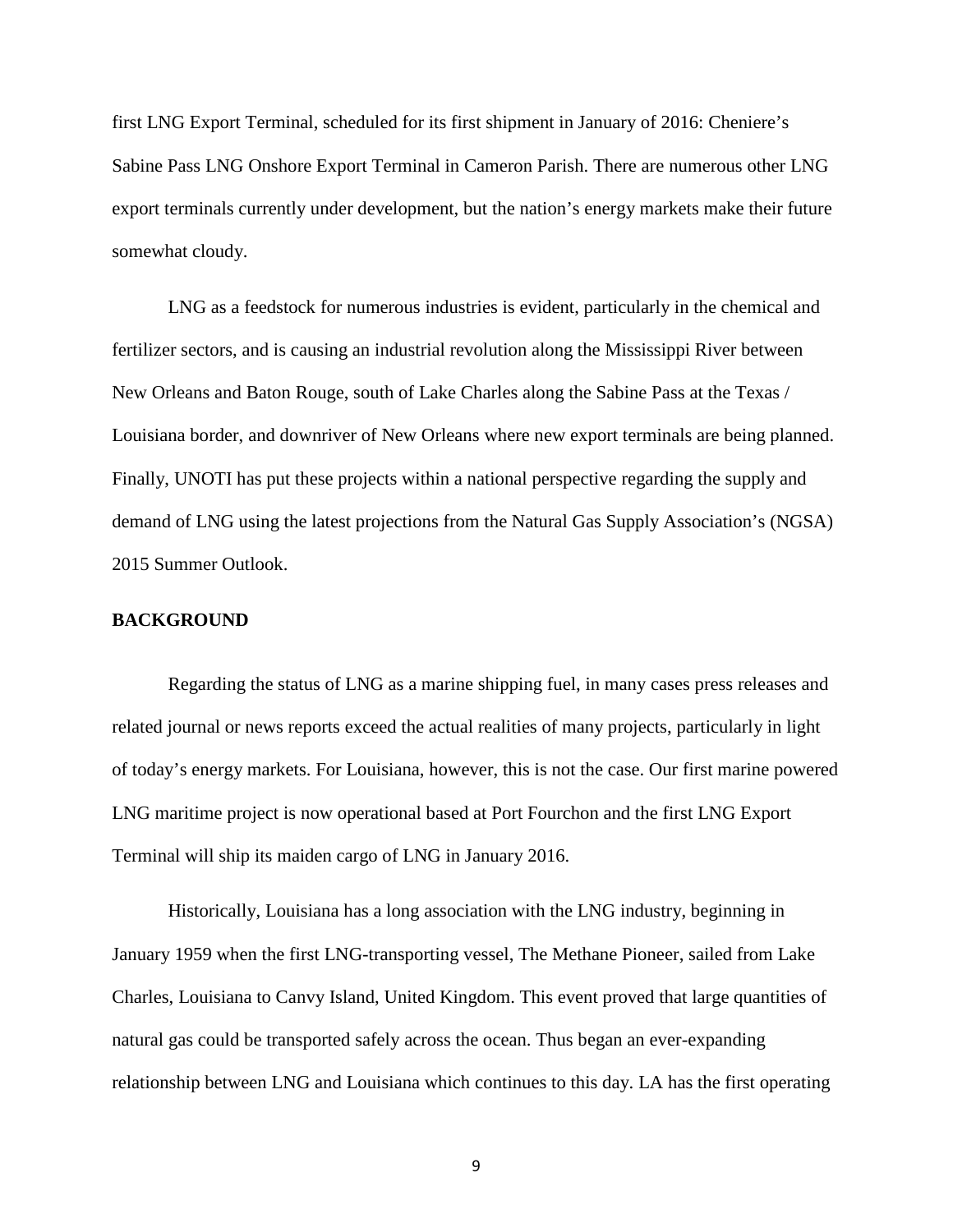first LNG Export Terminal, scheduled for its first shipment in January of 2016: Cheniere's Sabine Pass LNG Onshore Export Terminal in Cameron Parish. There are numerous other LNG export terminals currently under development, but the nation's energy markets make their future somewhat cloudy.

LNG as a feedstock for numerous industries is evident, particularly in the chemical and fertilizer sectors, and is causing an industrial revolution along the Mississippi River between New Orleans and Baton Rouge, south of Lake Charles along the Sabine Pass at the Texas / Louisiana border, and downriver of New Orleans where new export terminals are being planned. Finally, UNOTI has put these projects within a national perspective regarding the supply and demand of LNG using the latest projections from the Natural Gas Supply Association's (NGSA) 2015 Summer Outlook.

#### **BACKGROUND**

Regarding the status of LNG as a marine shipping fuel, in many cases press releases and related journal or news reports exceed the actual realities of many projects, particularly in light of today's energy markets. For Louisiana, however, this is not the case. Our first marine powered LNG maritime project is now operational based at Port Fourchon and the first LNG Export Terminal will ship its maiden cargo of LNG in January 2016.

Historically, Louisiana has a long association with the LNG industry, beginning in January 1959 when the first LNG-transporting vessel, The Methane Pioneer, sailed from Lake Charles, Louisiana to Canvy Island, United Kingdom. This event proved that large quantities of natural gas could be transported safely across the ocean. Thus began an ever-expanding relationship between LNG and Louisiana which continues to this day. LA has the first operating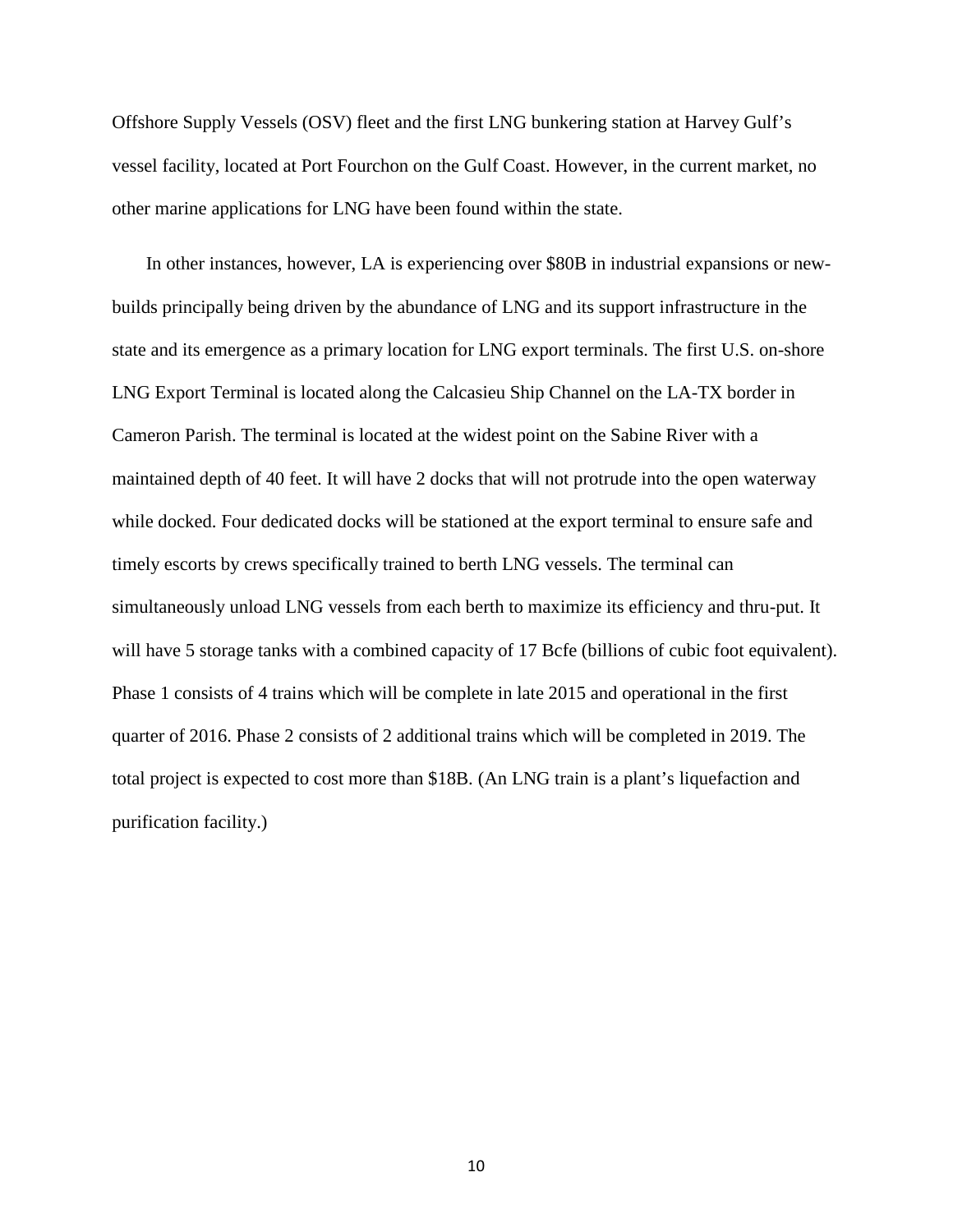Offshore Supply Vessels (OSV) fleet and the first LNG bunkering station at Harvey Gulf's vessel facility, located at Port Fourchon on the Gulf Coast. However, in the current market, no other marine applications for LNG have been found within the state.

In other instances, however, LA is experiencing over \$80B in industrial expansions or newbuilds principally being driven by the abundance of LNG and its support infrastructure in the state and its emergence as a primary location for LNG export terminals. The first U.S. on-shore LNG Export Terminal is located along the Calcasieu Ship Channel on the LA-TX border in Cameron Parish. The terminal is located at the widest point on the Sabine River with a maintained depth of 40 feet. It will have 2 docks that will not protrude into the open waterway while docked. Four dedicated docks will be stationed at the export terminal to ensure safe and timely escorts by crews specifically trained to berth LNG vessels. The terminal can simultaneously unload LNG vessels from each berth to maximize its efficiency and thru-put. It will have 5 storage tanks with a combined capacity of 17 Bcfe (billions of cubic foot equivalent). Phase 1 consists of 4 trains which will be complete in late 2015 and operational in the first quarter of 2016. Phase 2 consists of 2 additional trains which will be completed in 2019. The total project is expected to cost more than \$18B. (An LNG train is a plant's liquefaction and purification facility.)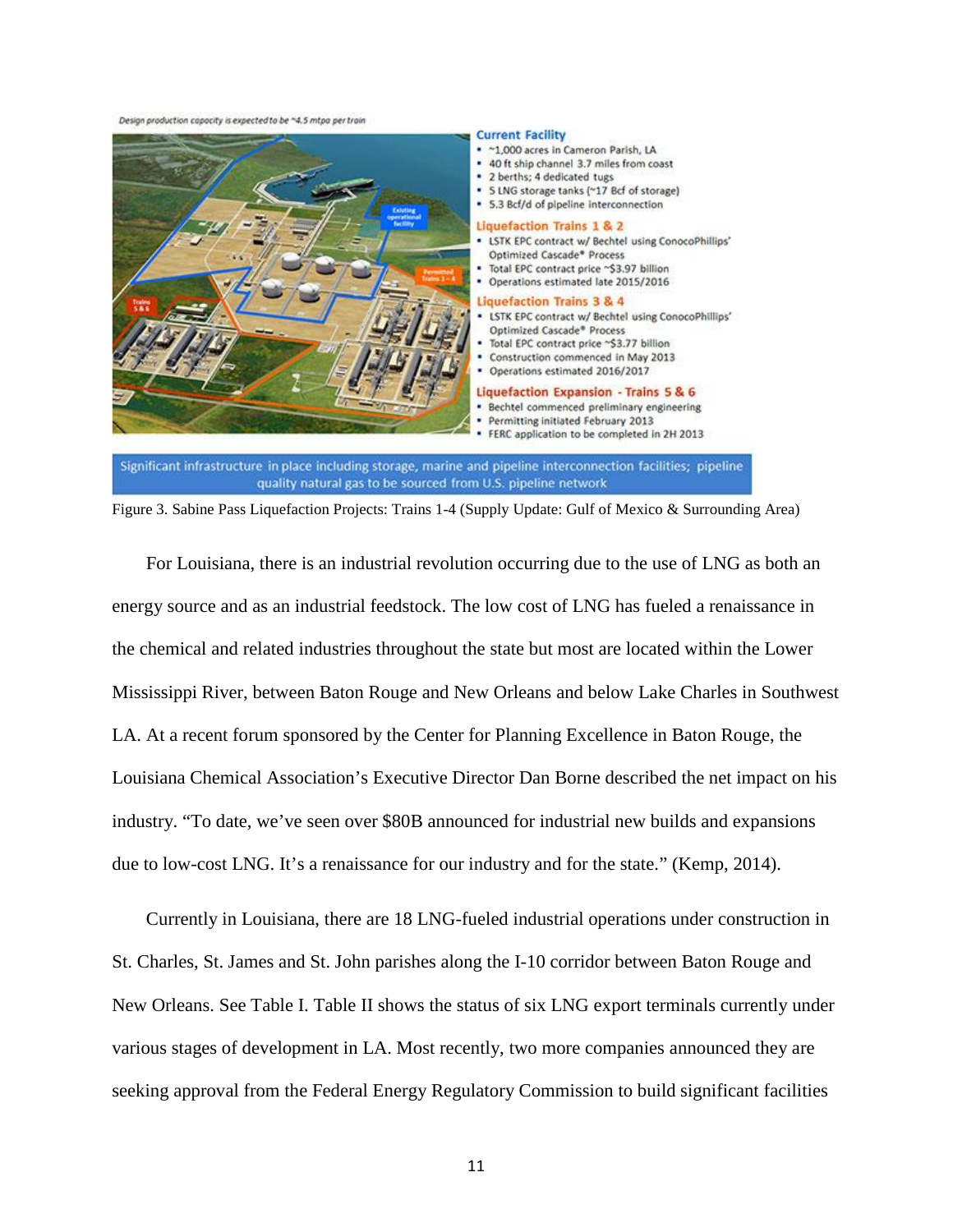Design production capacity is expected to be ~4.5 mtpg per train



Figure 3. Sabine Pass Liquefaction Projects: Trains 1-4 (Supply Update: Gulf of Mexico & Surrounding Area)

quality natural gas to be sourced from U.S. pipeline network

For Louisiana, there is an industrial revolution occurring due to the use of LNG as both an energy source and as an industrial feedstock. The low cost of LNG has fueled a renaissance in the chemical and related industries throughout the state but most are located within the Lower Mississippi River, between Baton Rouge and New Orleans and below Lake Charles in Southwest LA. At a recent forum sponsored by the Center for Planning Excellence in Baton Rouge, the Louisiana Chemical Association's Executive Director Dan Borne described the net impact on his industry. "To date, we've seen over \$80B announced for industrial new builds and expansions due to low-cost LNG. It's a renaissance for our industry and for the state." (Kemp, 2014).

Currently in Louisiana, there are 18 LNG-fueled industrial operations under construction in St. Charles, St. James and St. John parishes along the I-10 corridor between Baton Rouge and New Orleans. See Table I. Table II shows the status of six LNG export terminals currently under various stages of development in LA. Most recently, two more companies announced they are seeking approval from the Federal Energy Regulatory Commission to build significant facilities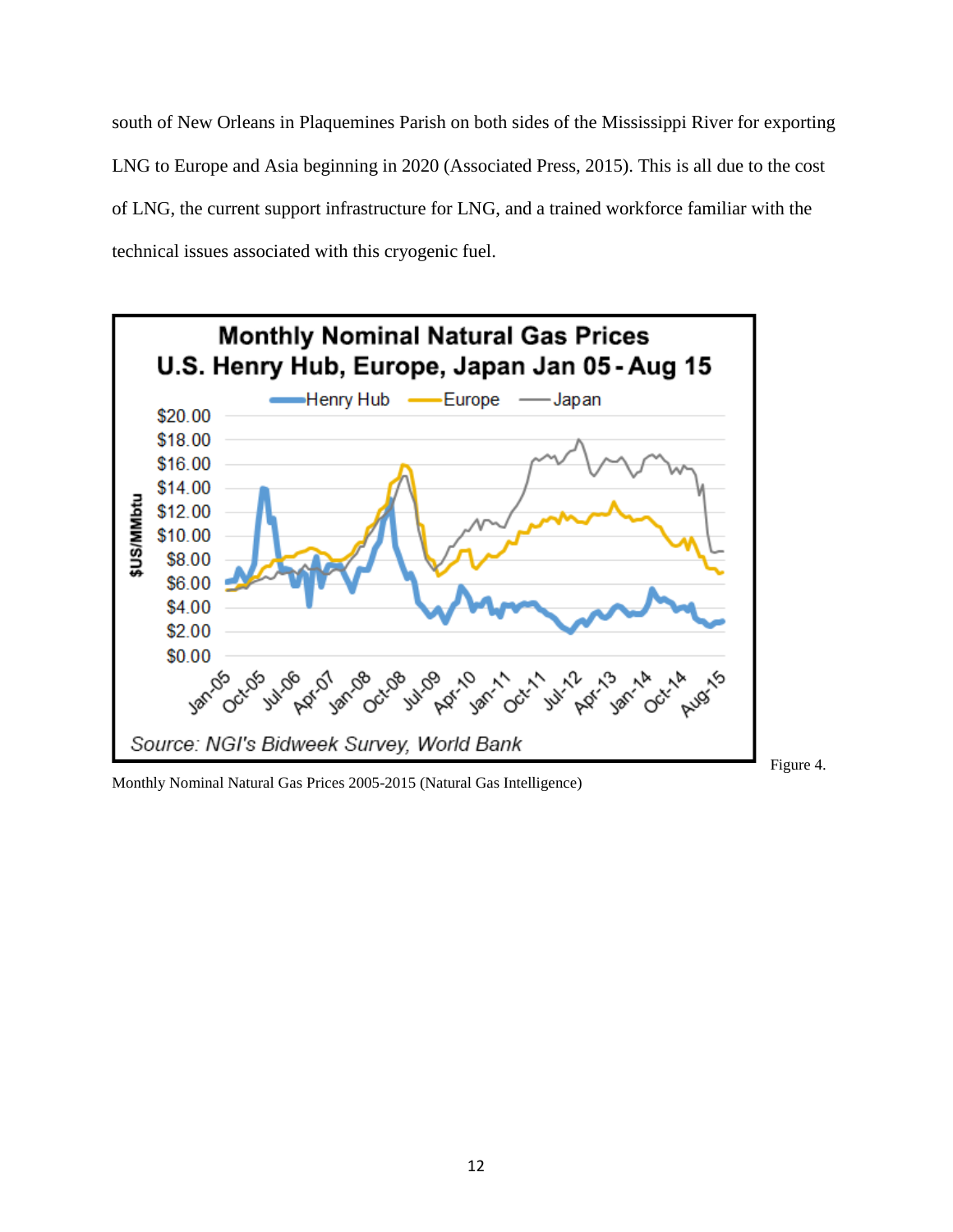south of New Orleans in Plaquemines Parish on both sides of the Mississippi River for exporting LNG to Europe and Asia beginning in 2020 (Associated Press, 2015). This is all due to the cost of LNG, the current support infrastructure for LNG, and a trained workforce familiar with the technical issues associated with this cryogenic fuel.



Monthly Nominal Natural Gas Prices 2005-2015 (Natural Gas Intelligence)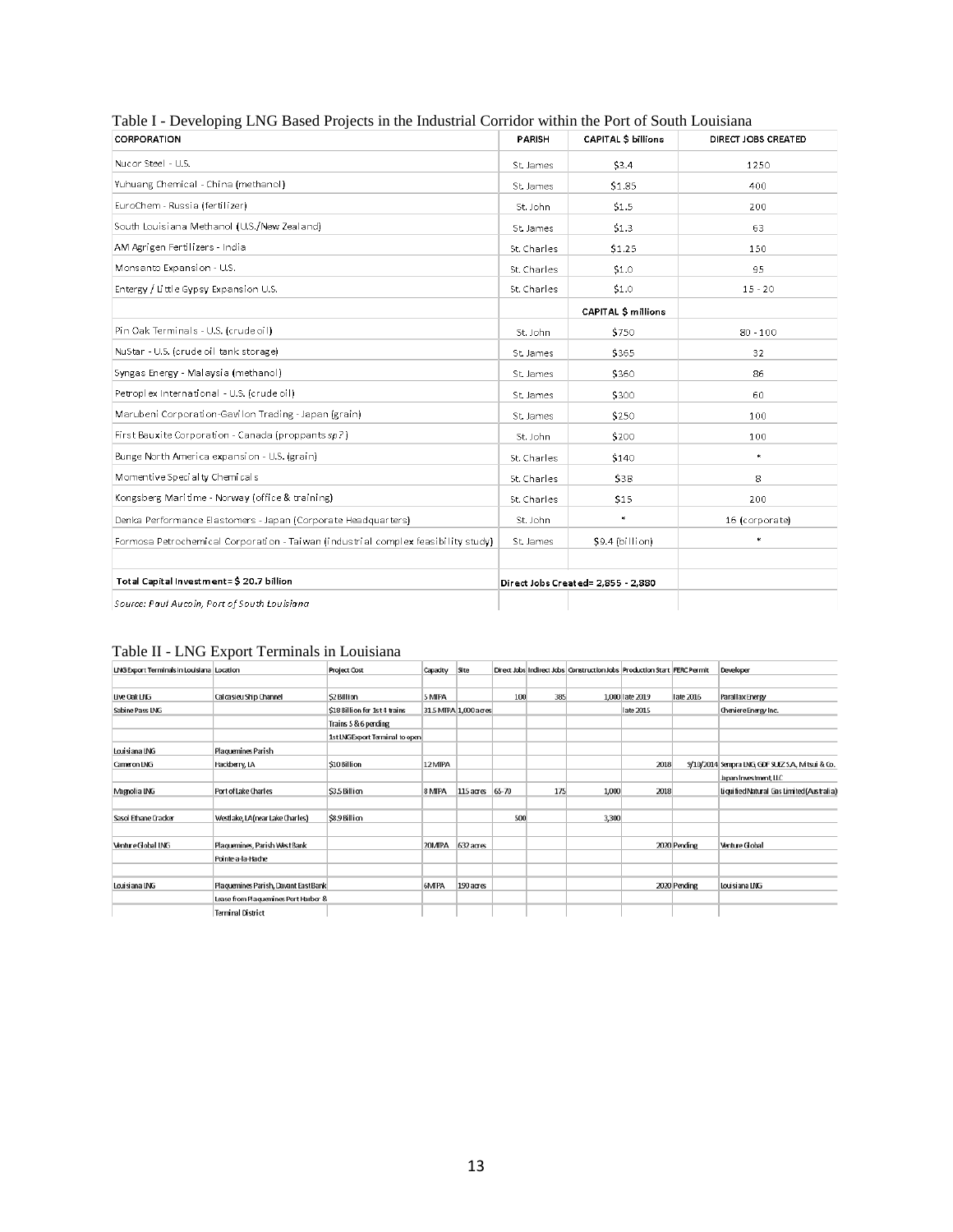| CORPORATION                                                                       | <b>CAPITAL \$ billions</b><br>PARISH |                                    | DIRECT JOBS CREATED |  |  |
|-----------------------------------------------------------------------------------|--------------------------------------|------------------------------------|---------------------|--|--|
| Nucor Steel - U.S.                                                                | St. James                            | \$3.4                              | 1250                |  |  |
| Yuhuang Chemical - China (methanol)                                               | St. James                            | \$1.85                             | 400                 |  |  |
| EuroChem - Russia (fertilizer)                                                    | St. John                             | \$1.5                              | 200                 |  |  |
| South Louisiana Methanol (U.S./New Zeal and)                                      | St James                             | \$1.3                              | 63                  |  |  |
| AM Agrigen Fertilizers - India                                                    | St. Charles                          | \$1.25                             | 150                 |  |  |
| Monsanto Expansion - U.S.                                                         | St. Charles                          | \$1.0                              | 95                  |  |  |
| Entergy / Little Gypsy Expansion U.S.                                             | St. Charles                          | \$1.0                              | $15 - 20$           |  |  |
|                                                                                   |                                      | <b>CAPITAL \$ millions</b>         |                     |  |  |
| Pin Oak Terminals - U.S. (crude oil)                                              | St. John                             | \$750                              | $80 - 100$          |  |  |
| NuStar - U.S. (crude oil tank storage)                                            | St James                             | \$365                              | 32                  |  |  |
| Syngas Energy - Malaysia (methanol)                                               | St. James                            | \$360                              | 86                  |  |  |
| Petroplex International - U.S. (crude oil)                                        | St James                             | \$300                              | 60                  |  |  |
| Marubeni Corporation-Gavilon Trading - Japan (grain)                              | St. James                            | \$250                              | 100                 |  |  |
| First Bauxite Corporation - Canada (proppants sp?)                                | St. John                             | \$200                              | 100                 |  |  |
| Bunge North America expansion - U.S. (grain)                                      | St. Charles                          | \$140                              | $\star$             |  |  |
| Momentive Special ty Chemicals                                                    | St. Charles                          | \$38                               | 8                   |  |  |
| Kongsberg Maritime - Norway (office & training)                                   | St. Charles                          | \$15                               | 200                 |  |  |
| Denka Performance Elastomers - Japan (Corporate Headquarters)                     | St. John                             | $\star$                            | 16 (corporate)      |  |  |
| Formosa Petrochemical Corporation - Taiwan (industrial complex feasibility study) | St. James                            | \$9.4 (billion)                    | $\star$             |  |  |
|                                                                                   |                                      |                                    |                     |  |  |
| Total Capital Investment=\$ 20.7 billion                                          |                                      | Direct Jobs Created= 2,855 - 2,880 |                     |  |  |
| Source: Paul Aucoin, Port of South Louisiana                                      |                                      |                                    |                     |  |  |

#### Table I - Developing LNG Based Projects in the Industrial Corridor within the Port of South Louisiana

#### Table II - LNG Export Terminals in Louisiana

| LNG Export Terminals in Louisiana Location |                                      | Project Cost                   | Capadty | Site                  |       |     | Direct Jobs Indirect Jobs Construction Jobs Production Start   FERC Permit |                 |              | Developer                                         |
|--------------------------------------------|--------------------------------------|--------------------------------|---------|-----------------------|-------|-----|----------------------------------------------------------------------------|-----------------|--------------|---------------------------------------------------|
|                                            |                                      |                                |         |                       |       |     |                                                                            |                 |              |                                                   |
| Live Oak LNG                               | Calcasicu Ship Channel               | S2 Billion                     | 5 MIPA  |                       | 100   | 385 |                                                                            | 1,000 late 2019 | late 2016    | Parallax Energy                                   |
| Sabine Pass LNG                            |                                      | \$18 Billion for 1st 4 trains  |         | 31.5 MIPA 1,000 acres |       |     |                                                                            | late 2015       |              | Cheniere Energy Inc.                              |
|                                            |                                      | Trains 5 & 6 pending           |         |                       |       |     |                                                                            |                 |              |                                                   |
|                                            |                                      | 1st LNGExport Terminal to open |         |                       |       |     |                                                                            |                 |              |                                                   |
| Louisiana LNG                              | Plaquemines Parish                   |                                |         |                       |       |     |                                                                            |                 |              |                                                   |
| Cameron LNG                                | Hackberry, LA                        | \$10 Billion                   | 12 MIPA |                       |       |     |                                                                            | 2018            |              | 9/10/2014 Sempra LNG, GDF SUEZ S.A., M tsui & Co. |
|                                            |                                      |                                |         |                       |       |     |                                                                            |                 |              | Japan Investment, LLC                             |
| Magnolia LNG                               | Port of Lake Charles                 | \$3.5 Billion                  | 8 MIPA  | $115$ acres           | 65-70 | 175 | 1,000                                                                      | 2018            |              | Liquified Natural Gas Limited (Australia)         |
|                                            |                                      |                                |         |                       |       |     |                                                                            |                 |              |                                                   |
| Sasol Ethane Cracker                       | Westlake, LA (near Lake Charles)     | \$8.9 Billion                  |         |                       | 500   |     | 3,300                                                                      |                 |              |                                                   |
|                                            |                                      |                                |         |                       |       |     |                                                                            |                 |              |                                                   |
| Venture Gobal LNG                          | Plaquemines, Parish West Bank        |                                | 20MIPA  | $632 a$ ges           |       |     |                                                                            |                 | 2020 Pending | Venture Global                                    |
|                                            | Pointe-a-la-Hache                    |                                |         |                       |       |     |                                                                            |                 |              |                                                   |
|                                            |                                      |                                |         |                       |       |     |                                                                            |                 |              |                                                   |
| Louisiana LNG                              | Plaquamines Parish, Davant East Bank |                                | 6MIPA   | 190 acres             |       |     |                                                                            |                 | 2020 Pending | Louisiana LNG                                     |
|                                            | Lease from Plaquenines Port Harbor & |                                |         |                       |       |     |                                                                            |                 |              |                                                   |
|                                            | <b>Terminal District</b>             |                                |         |                       |       |     |                                                                            |                 |              |                                                   |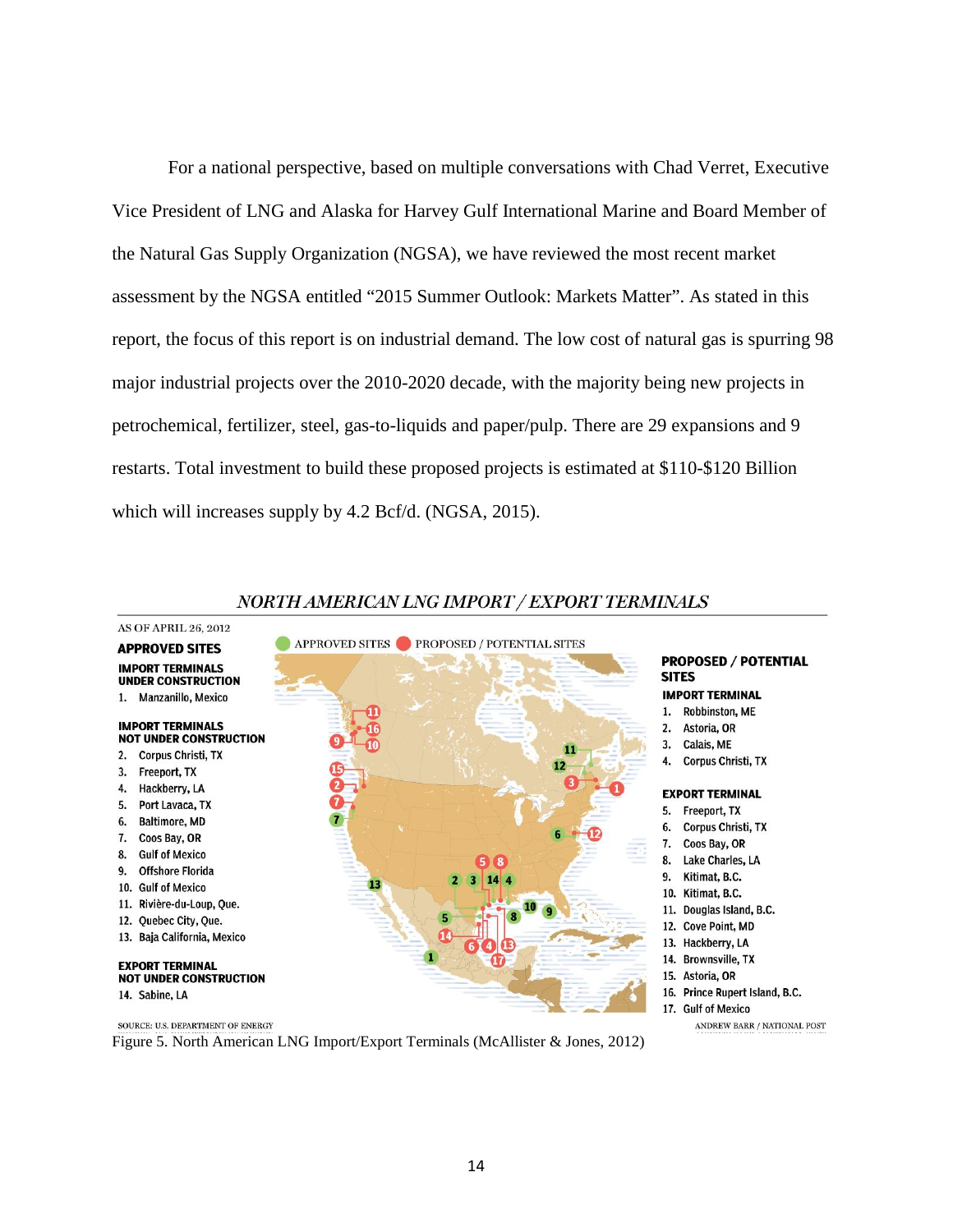For a national perspective, based on multiple conversations with Chad Verret, Executive Vice President of LNG and Alaska for Harvey Gulf International Marine and Board Member of the Natural Gas Supply Organization (NGSA), we have reviewed the most recent market assessment by the NGSA entitled "2015 Summer Outlook: Markets Matter". As stated in this report, the focus of this report is on industrial demand. The low cost of natural gas is spurring 98 major industrial projects over the 2010-2020 decade, with the majority being new projects in petrochemical, fertilizer, steel, gas-to-liquids and paper/pulp. There are 29 expansions and 9 restarts. Total investment to build these proposed projects is estimated at \$110-\$120 Billion which will increases supply by 4.2 Bcf/d. (NGSA, 2015).



#### NORTH AMERICAN LNG IMPORT / EXPORT TERMINALS

Figure 5. North American LNG Import/Export Terminals (McAllister & Jones, 2012)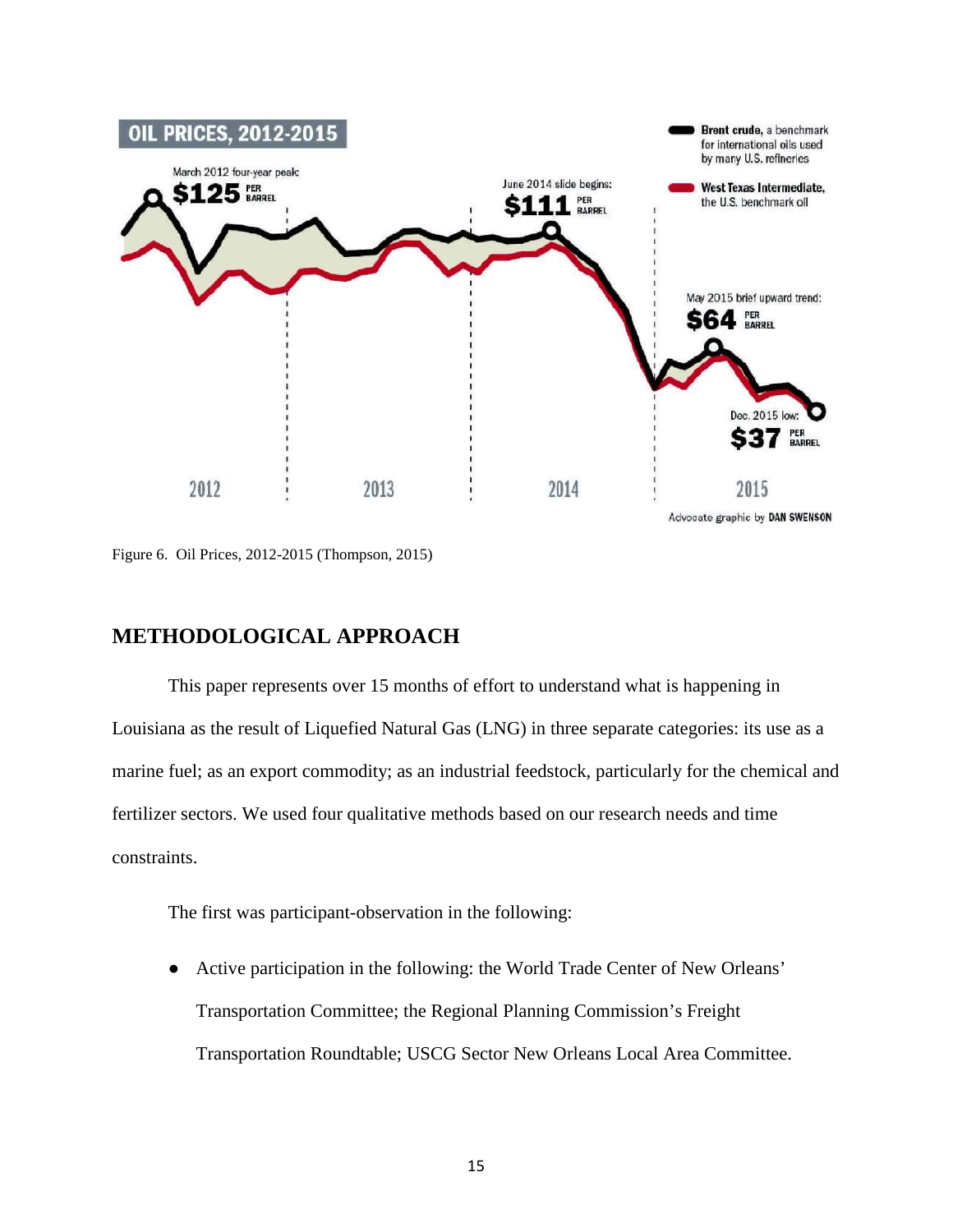

Figure 6. Oil Prices, 2012-2015 (Thompson, 2015)

# **METHODOLOGICAL APPROACH**

This paper represents over 15 months of effort to understand what is happening in Louisiana as the result of Liquefied Natural Gas (LNG) in three separate categories: its use as a marine fuel; as an export commodity; as an industrial feedstock, particularly for the chemical and fertilizer sectors. We used four qualitative methods based on our research needs and time constraints.

The first was participant-observation in the following:

● Active participation in the following: the World Trade Center of New Orleans' Transportation Committee; the Regional Planning Commission's Freight Transportation Roundtable; USCG Sector New Orleans Local Area Committee.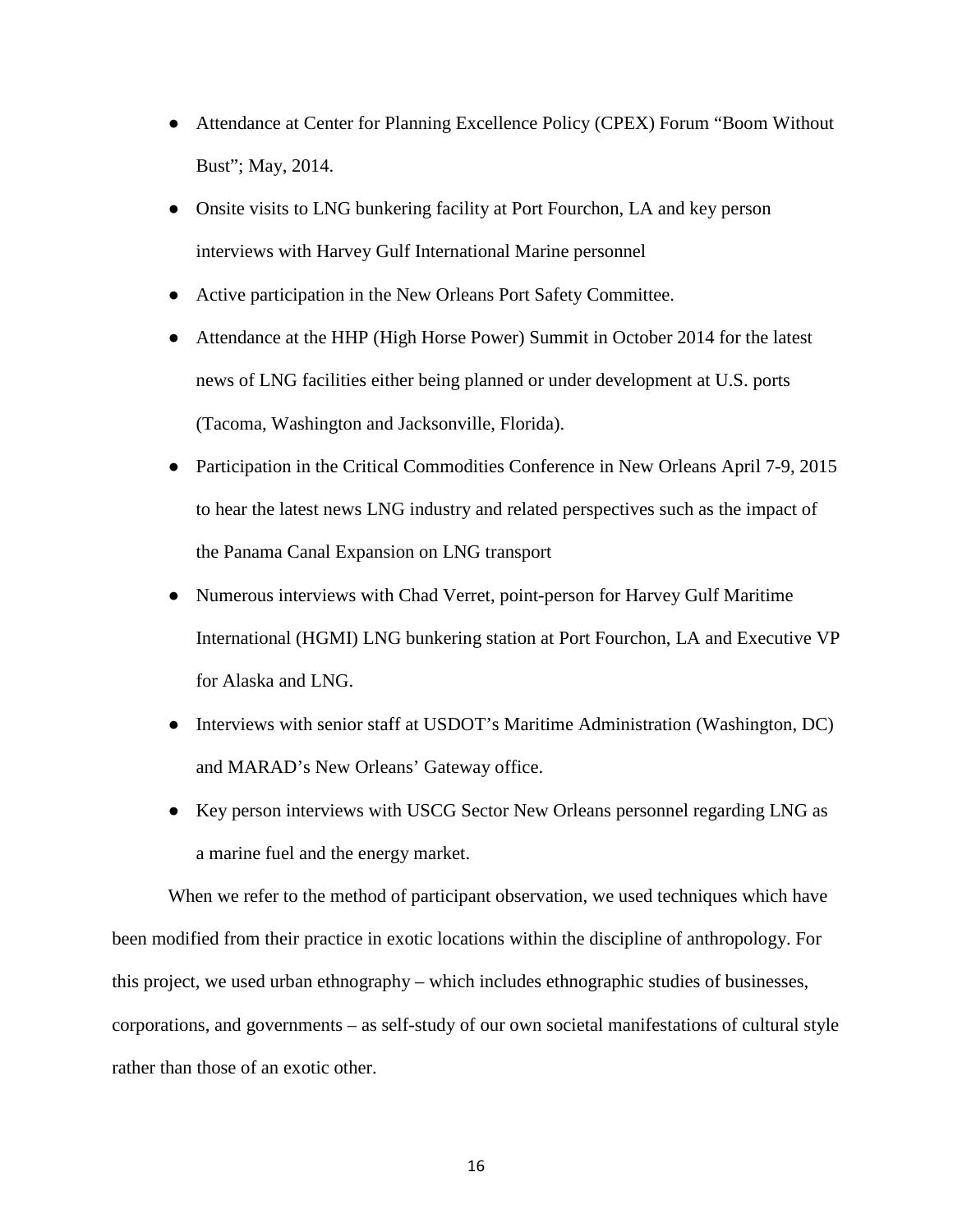- Attendance at Center for Planning Excellence Policy (CPEX) Forum "Boom Without Bust"; May, 2014.
- Onsite visits to LNG bunkering facility at Port Fourchon, LA and key person interviews with Harvey Gulf International Marine personnel
- Active participation in the New Orleans Port Safety Committee.
- Attendance at the HHP (High Horse Power) Summit in October 2014 for the latest news of LNG facilities either being planned or under development at U.S. ports (Tacoma, Washington and Jacksonville, Florida).
- Participation in the Critical Commodities Conference in New Orleans April 7-9, 2015 to hear the latest news LNG industry and related perspectives such as the impact of the Panama Canal Expansion on LNG transport
- Numerous interviews with Chad Verret, point-person for Harvey Gulf Maritime International (HGMI) LNG bunkering station at Port Fourchon, LA and Executive VP for Alaska and LNG.
- Interviews with senior staff at USDOT's Maritime Administration (Washington, DC) and MARAD's New Orleans' Gateway office.
- Key person interviews with USCG Sector New Orleans personnel regarding LNG as a marine fuel and the energy market.

When we refer to the method of participant observation, we used techniques which have been modified from their practice in exotic locations within the discipline of anthropology. For this project, we used urban ethnography – which includes ethnographic studies of businesses, corporations, and governments – as self-study of our own societal manifestations of cultural style rather than those of an exotic other.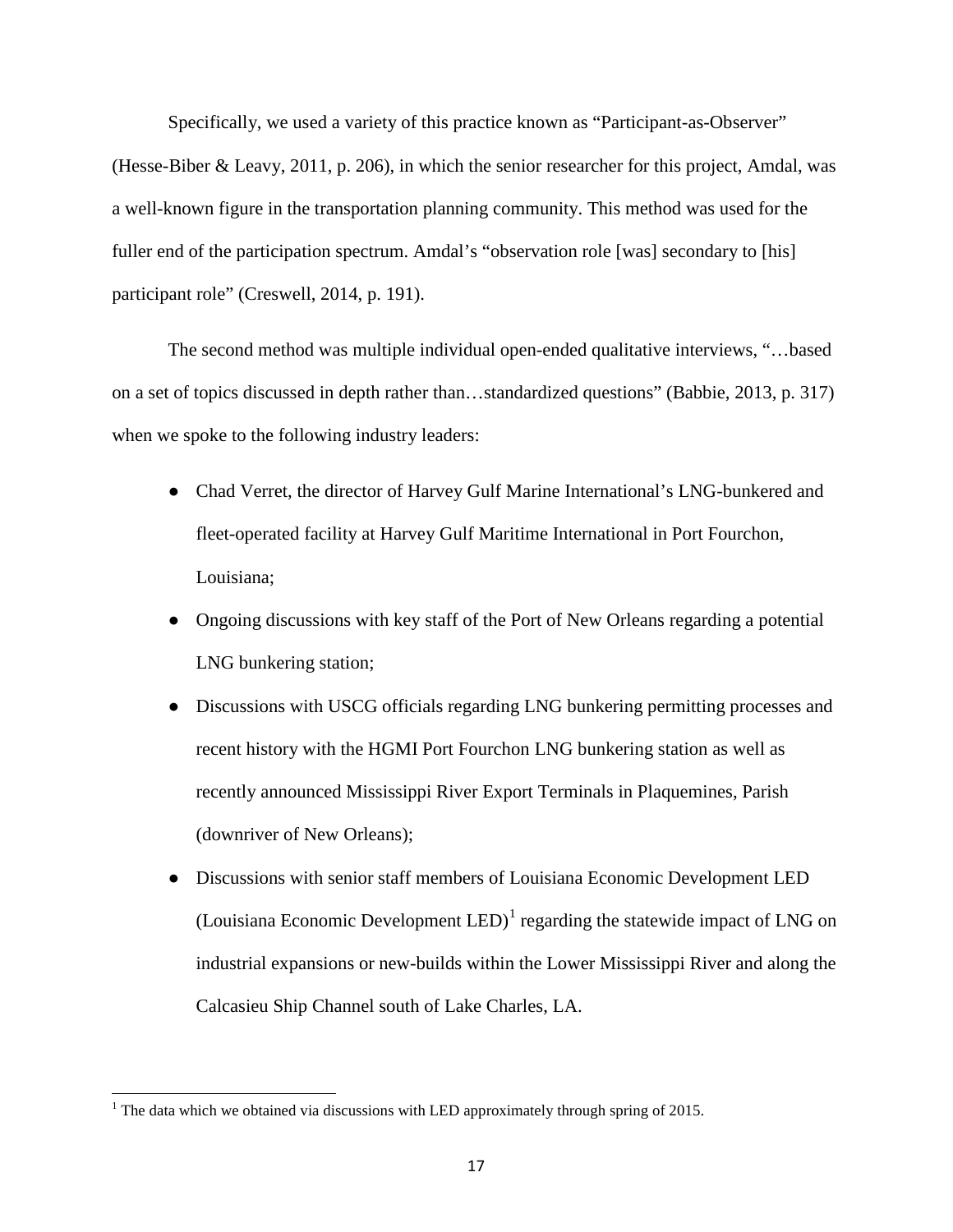Specifically, we used a variety of this practice known as "Participant-as-Observer" (Hesse-Biber & Leavy, 2011, p. 206), in which the senior researcher for this project, Amdal, was a well-known figure in the transportation planning community. This method was used for the fuller end of the participation spectrum. Amdal's "observation role [was] secondary to [his] participant role" (Creswell, 2014, p. 191).

The second method was multiple individual open-ended qualitative interviews, "…based on a set of topics discussed in depth rather than…standardized questions" (Babbie, 2013, p. 317) when we spoke to the following industry leaders:

- Chad Verret, the director of Harvey Gulf Marine International's LNG-bunkered and fleet-operated facility at Harvey Gulf Maritime International in Port Fourchon, Louisiana;
- Ongoing discussions with key staff of the Port of New Orleans regarding a potential LNG bunkering station;
- Discussions with USCG officials regarding LNG bunkering permitting processes and recent history with the HGMI Port Fourchon LNG bunkering station as well as recently announced Mississippi River Export Terminals in Plaquemines, Parish (downriver of New Orleans);
- Discussions with senior staff members of Louisiana Economic Development LED (Louisiana Economic Development  $LED$ )<sup>[1](#page-16-0)</sup> regarding the statewide impact of LNG on industrial expansions or new-builds within the Lower Mississippi River and along the Calcasieu Ship Channel south of Lake Charles, LA.

<span id="page-16-0"></span> $1$ <sup>1</sup> The data which we obtained via discussions with LED approximately through spring of 2015.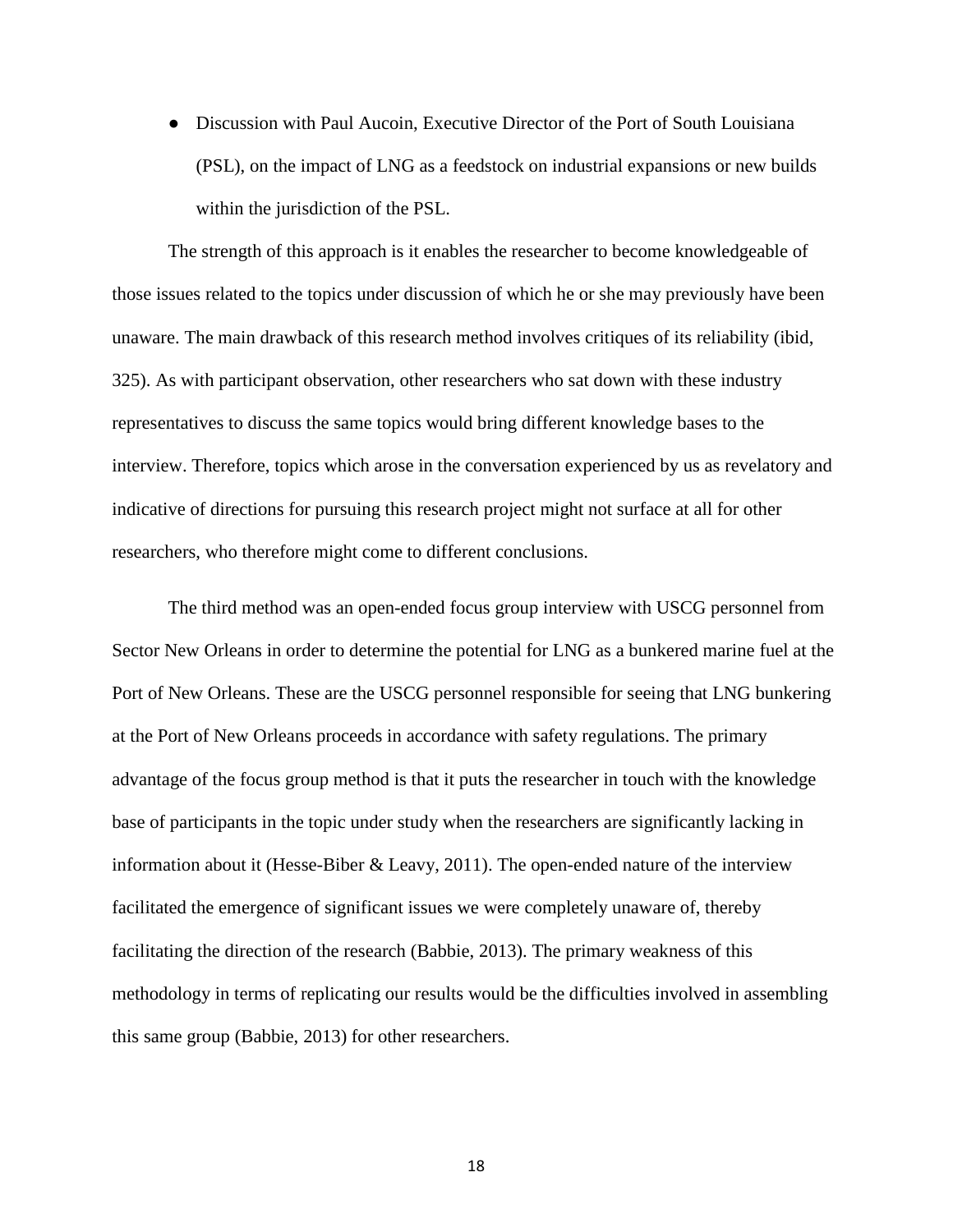• Discussion with Paul Aucoin, Executive Director of the Port of South Louisiana (PSL), on the impact of LNG as a feedstock on industrial expansions or new builds within the jurisdiction of the PSL.

The strength of this approach is it enables the researcher to become knowledgeable of those issues related to the topics under discussion of which he or she may previously have been unaware. The main drawback of this research method involves critiques of its reliability (ibid, 325). As with participant observation, other researchers who sat down with these industry representatives to discuss the same topics would bring different knowledge bases to the interview. Therefore, topics which arose in the conversation experienced by us as revelatory and indicative of directions for pursuing this research project might not surface at all for other researchers, who therefore might come to different conclusions.

The third method was an open-ended focus group interview with USCG personnel from Sector New Orleans in order to determine the potential for LNG as a bunkered marine fuel at the Port of New Orleans. These are the USCG personnel responsible for seeing that LNG bunkering at the Port of New Orleans proceeds in accordance with safety regulations. The primary advantage of the focus group method is that it puts the researcher in touch with the knowledge base of participants in the topic under study when the researchers are significantly lacking in information about it (Hesse-Biber & Leavy, 2011). The open-ended nature of the interview facilitated the emergence of significant issues we were completely unaware of, thereby facilitating the direction of the research (Babbie, 2013). The primary weakness of this methodology in terms of replicating our results would be the difficulties involved in assembling this same group (Babbie, 2013) for other researchers.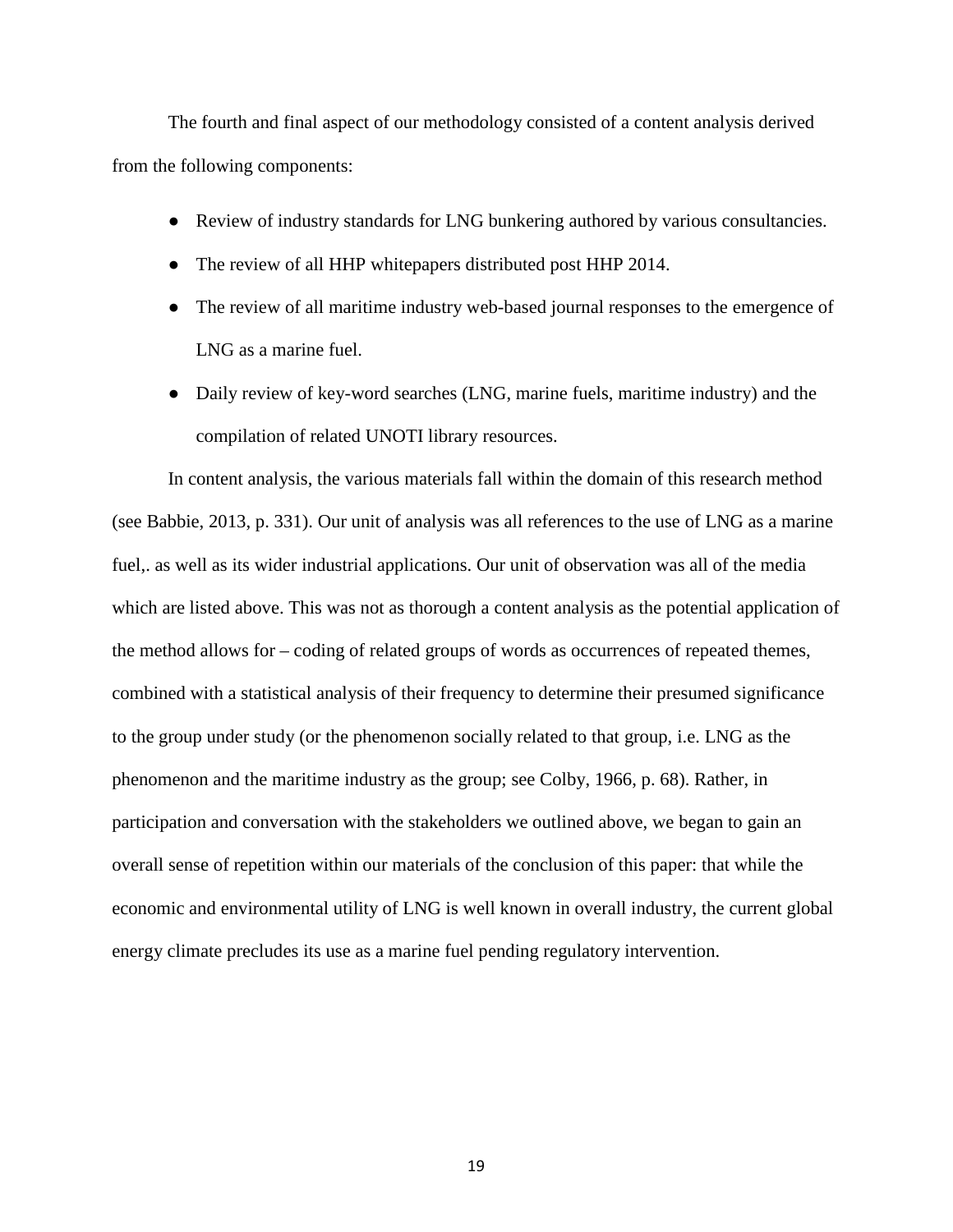The fourth and final aspect of our methodology consisted of a content analysis derived from the following components:

- Review of industry standards for LNG bunkering authored by various consultancies.
- The review of all HHP whitepapers distributed post HHP 2014.
- The review of all maritime industry web-based journal responses to the emergence of LNG as a marine fuel.
- Daily review of key-word searches (LNG, marine fuels, maritime industry) and the compilation of related UNOTI library resources.

In content analysis, the various materials fall within the domain of this research method (see Babbie, 2013, p. 331). Our unit of analysis was all references to the use of LNG as a marine fuel,. as well as its wider industrial applications. Our unit of observation was all of the media which are listed above. This was not as thorough a content analysis as the potential application of the method allows for – coding of related groups of words as occurrences of repeated themes, combined with a statistical analysis of their frequency to determine their presumed significance to the group under study (or the phenomenon socially related to that group, i.e. LNG as the phenomenon and the maritime industry as the group; see Colby, 1966, p. 68). Rather, in participation and conversation with the stakeholders we outlined above, we began to gain an overall sense of repetition within our materials of the conclusion of this paper: that while the economic and environmental utility of LNG is well known in overall industry, the current global energy climate precludes its use as a marine fuel pending regulatory intervention.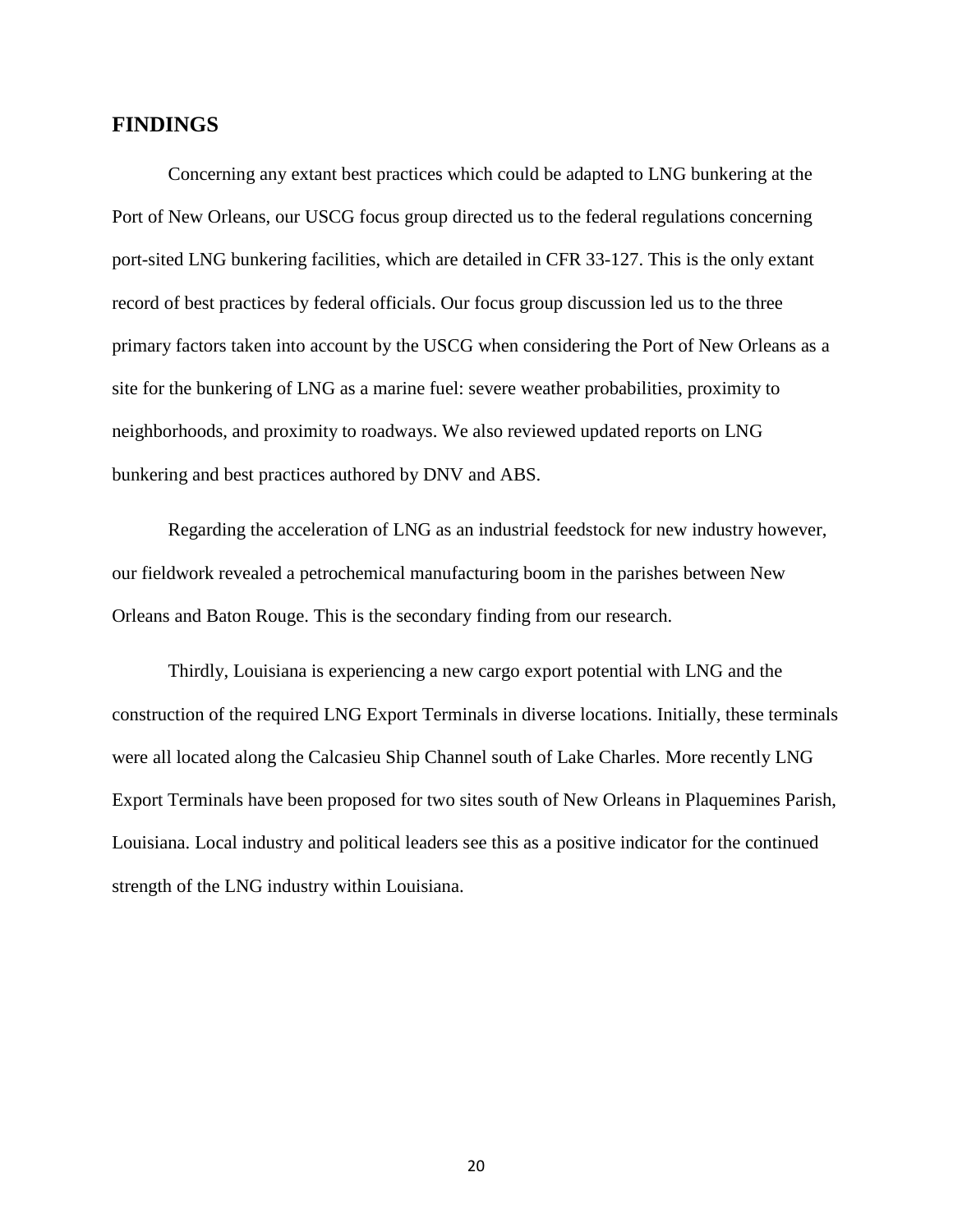#### **FINDINGS**

Concerning any extant best practices which could be adapted to LNG bunkering at the Port of New Orleans, our USCG focus group directed us to the federal regulations concerning port-sited LNG bunkering facilities, which are detailed in CFR 33-127. This is the only extant record of best practices by federal officials. Our focus group discussion led us to the three primary factors taken into account by the USCG when considering the Port of New Orleans as a site for the bunkering of LNG as a marine fuel: severe weather probabilities, proximity to neighborhoods, and proximity to roadways. We also reviewed updated reports on LNG bunkering and best practices authored by DNV and ABS.

Regarding the acceleration of LNG as an industrial feedstock for new industry however, our fieldwork revealed a petrochemical manufacturing boom in the parishes between New Orleans and Baton Rouge. This is the secondary finding from our research.

Thirdly, Louisiana is experiencing a new cargo export potential with LNG and the construction of the required LNG Export Terminals in diverse locations. Initially, these terminals were all located along the Calcasieu Ship Channel south of Lake Charles. More recently LNG Export Terminals have been proposed for two sites south of New Orleans in Plaquemines Parish, Louisiana. Local industry and political leaders see this as a positive indicator for the continued strength of the LNG industry within Louisiana.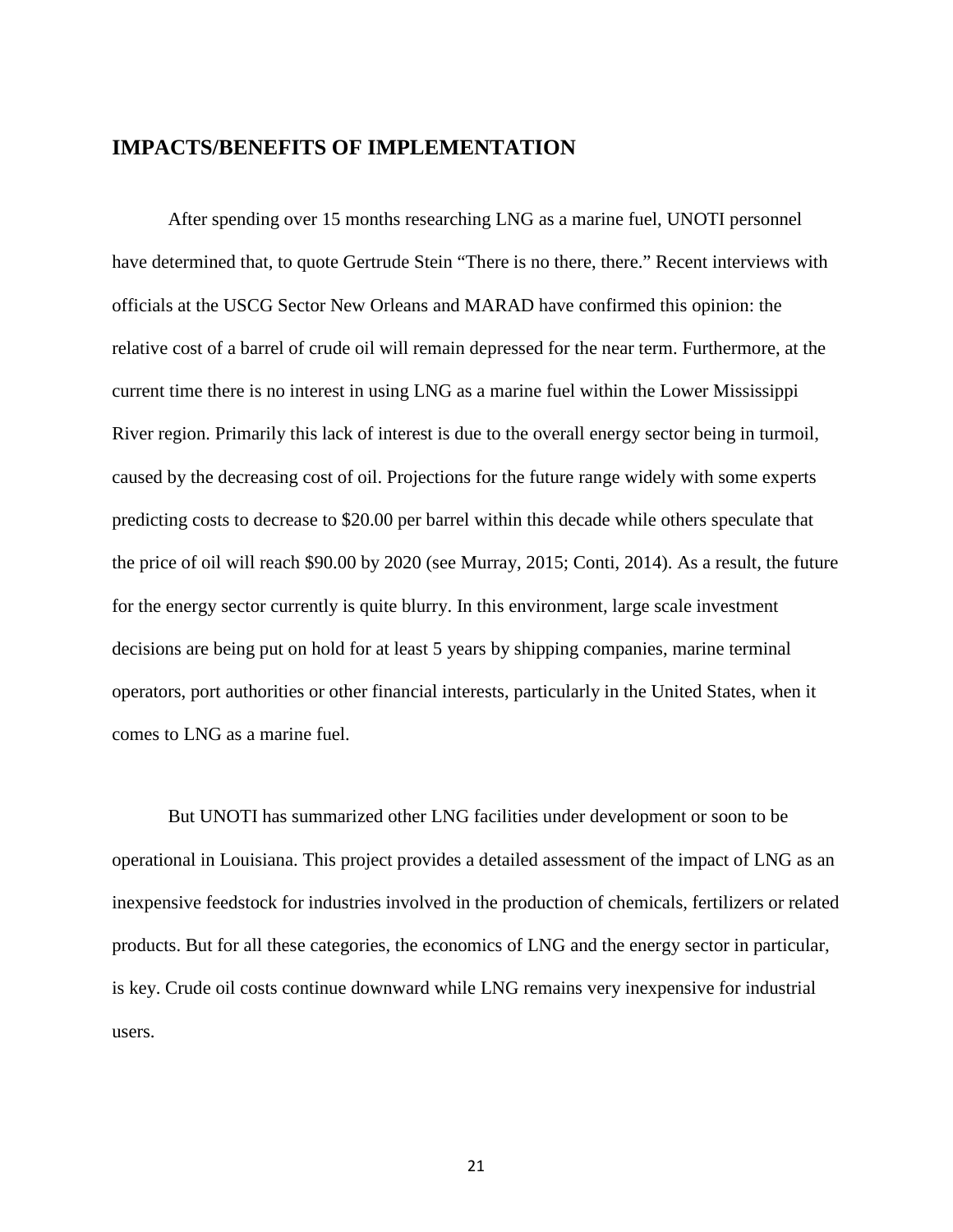## **IMPACTS/BENEFITS OF IMPLEMENTATION**

After spending over 15 months researching LNG as a marine fuel, UNOTI personnel have determined that, to quote Gertrude Stein "There is no there, there." Recent interviews with officials at the USCG Sector New Orleans and MARAD have confirmed this opinion: the relative cost of a barrel of crude oil will remain depressed for the near term. Furthermore, at the current time there is no interest in using LNG as a marine fuel within the Lower Mississippi River region. Primarily this lack of interest is due to the overall energy sector being in turmoil, caused by the decreasing cost of oil. Projections for the future range widely with some experts predicting costs to decrease to \$20.00 per barrel within this decade while others speculate that the price of oil will reach \$90.00 by 2020 (see Murray, 2015; Conti, 2014). As a result, the future for the energy sector currently is quite blurry. In this environment, large scale investment decisions are being put on hold for at least 5 years by shipping companies, marine terminal operators, port authorities or other financial interests, particularly in the United States, when it comes to LNG as a marine fuel.

But UNOTI has summarized other LNG facilities under development or soon to be operational in Louisiana. This project provides a detailed assessment of the impact of LNG as an inexpensive feedstock for industries involved in the production of chemicals, fertilizers or related products. But for all these categories, the economics of LNG and the energy sector in particular, is key. Crude oil costs continue downward while LNG remains very inexpensive for industrial users.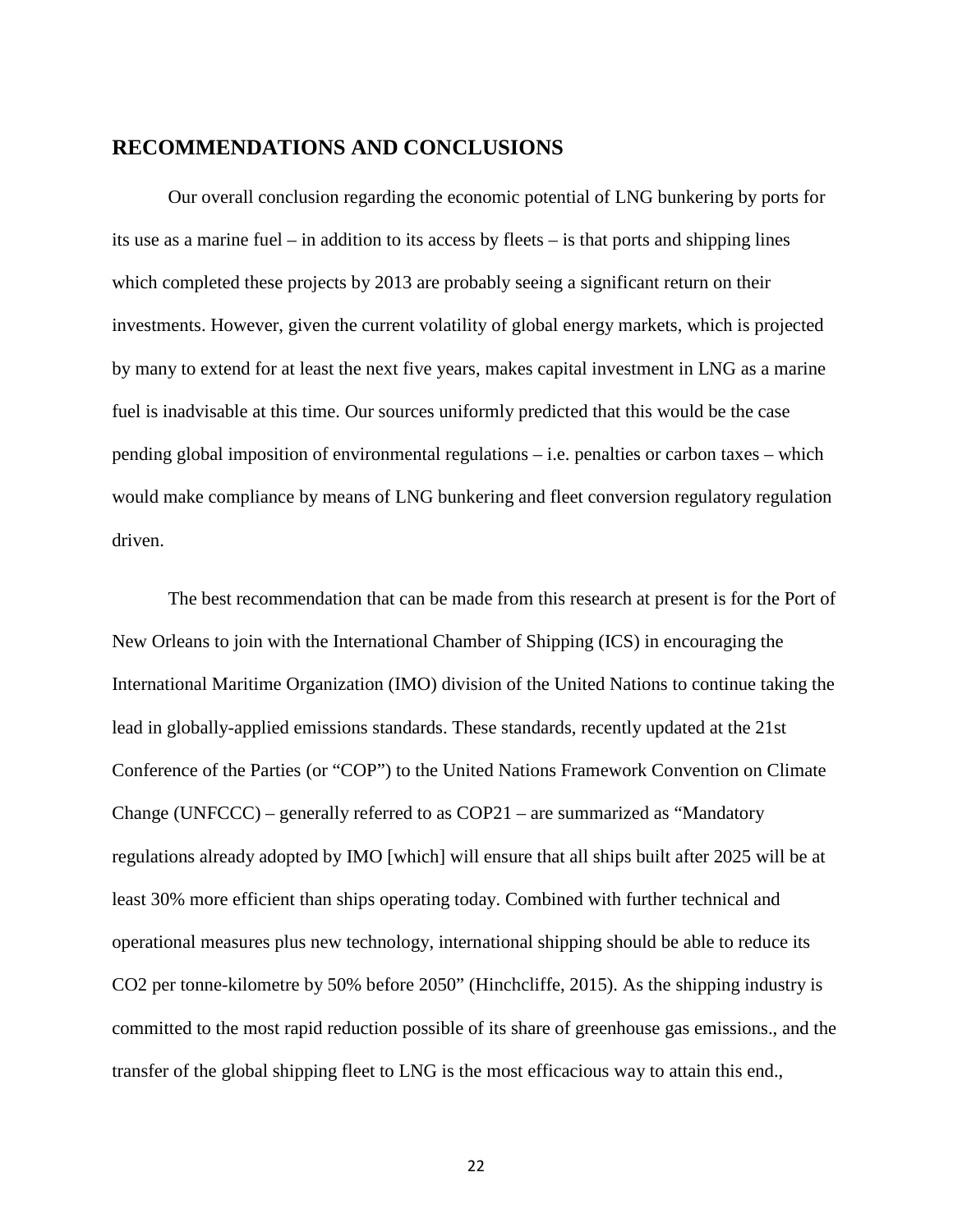## **RECOMMENDATIONS AND CONCLUSIONS**

Our overall conclusion regarding the economic potential of LNG bunkering by ports for its use as a marine fuel – in addition to its access by fleets – is that ports and shipping lines which completed these projects by 2013 are probably seeing a significant return on their investments. However, given the current volatility of global energy markets, which is projected by many to extend for at least the next five years, makes capital investment in LNG as a marine fuel is inadvisable at this time. Our sources uniformly predicted that this would be the case pending global imposition of environmental regulations – i.e. penalties or carbon taxes – which would make compliance by means of LNG bunkering and fleet conversion regulatory regulation driven.

The best recommendation that can be made from this research at present is for the Port of New Orleans to join with the International Chamber of Shipping (ICS) in encouraging the International Maritime Organization (IMO) division of the United Nations to continue taking the lead in globally-applied emissions standards. These standards, recently updated at the 21st Conference of the Parties (or "COP") to the United Nations Framework Convention on Climate Change (UNFCCC) – generally referred to as COP21 – are summarized as "Mandatory regulations already adopted by IMO [which] will ensure that all ships built after 2025 will be at least 30% more efficient than ships operating today. Combined with further technical and operational measures plus new technology, international shipping should be able to reduce its CO2 per tonne-kilometre by 50% before 2050" (Hinchcliffe, 2015). As the shipping industry is committed to the most rapid reduction possible of its share of greenhouse gas emissions., and the transfer of the global shipping fleet to LNG is the most efficacious way to attain this end.,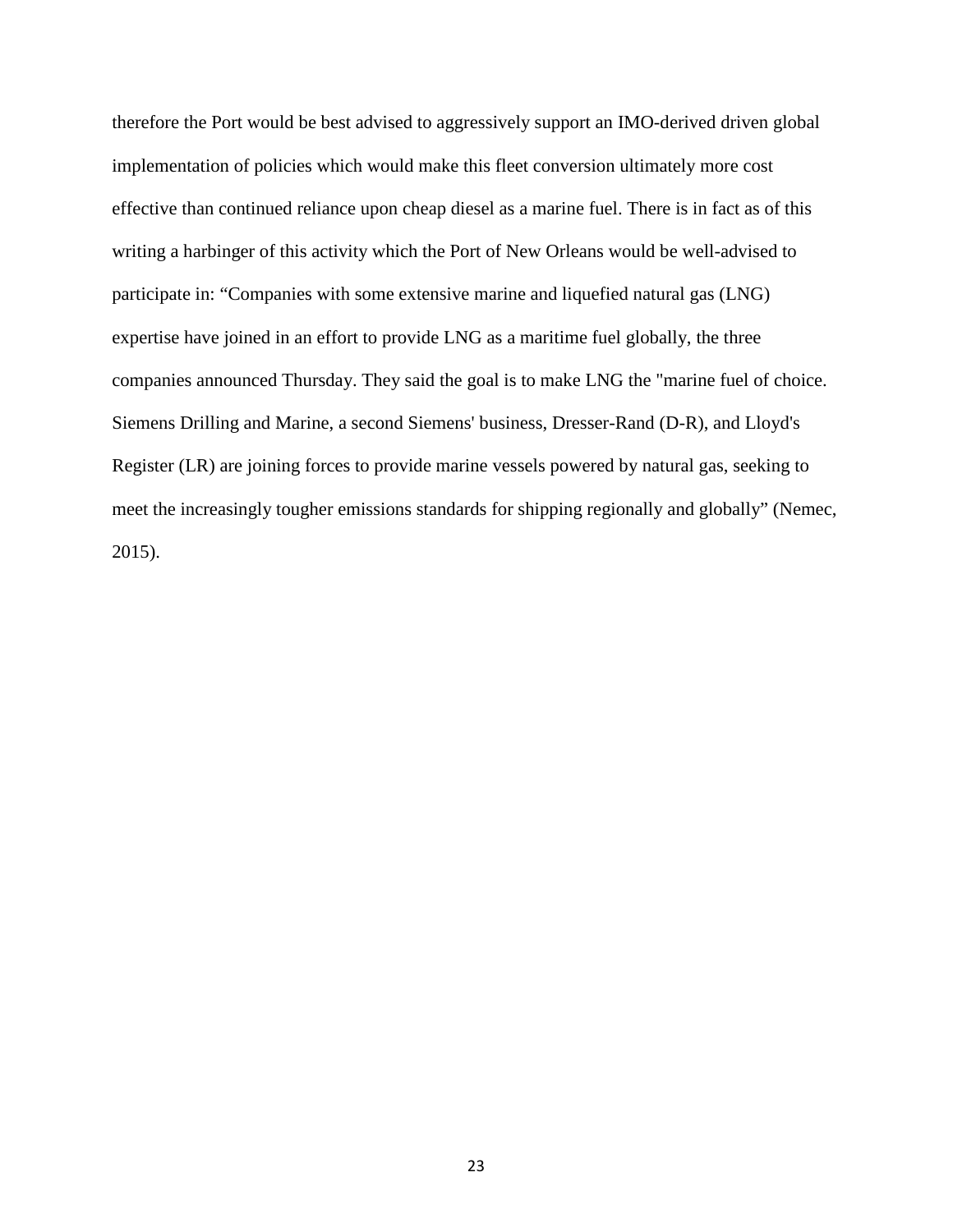therefore the Port would be best advised to aggressively support an IMO-derived driven global implementation of policies which would make this fleet conversion ultimately more cost effective than continued reliance upon cheap diesel as a marine fuel. There is in fact as of this writing a harbinger of this activity which the Port of New Orleans would be well-advised to participate in: "Companies with some extensive marine and liquefied natural gas (LNG) expertise have joined in an effort to provide LNG as a maritime fuel globally, the three companies announced Thursday. They said the goal is to make LNG the "marine fuel of choice. Siemens Drilling and Marine, a second Siemens' business, Dresser-Rand (D-R), and Lloyd's Register (LR) are joining forces to provide marine vessels powered by natural gas, seeking to meet the increasingly tougher emissions standards for shipping regionally and globally" (Nemec, 2015).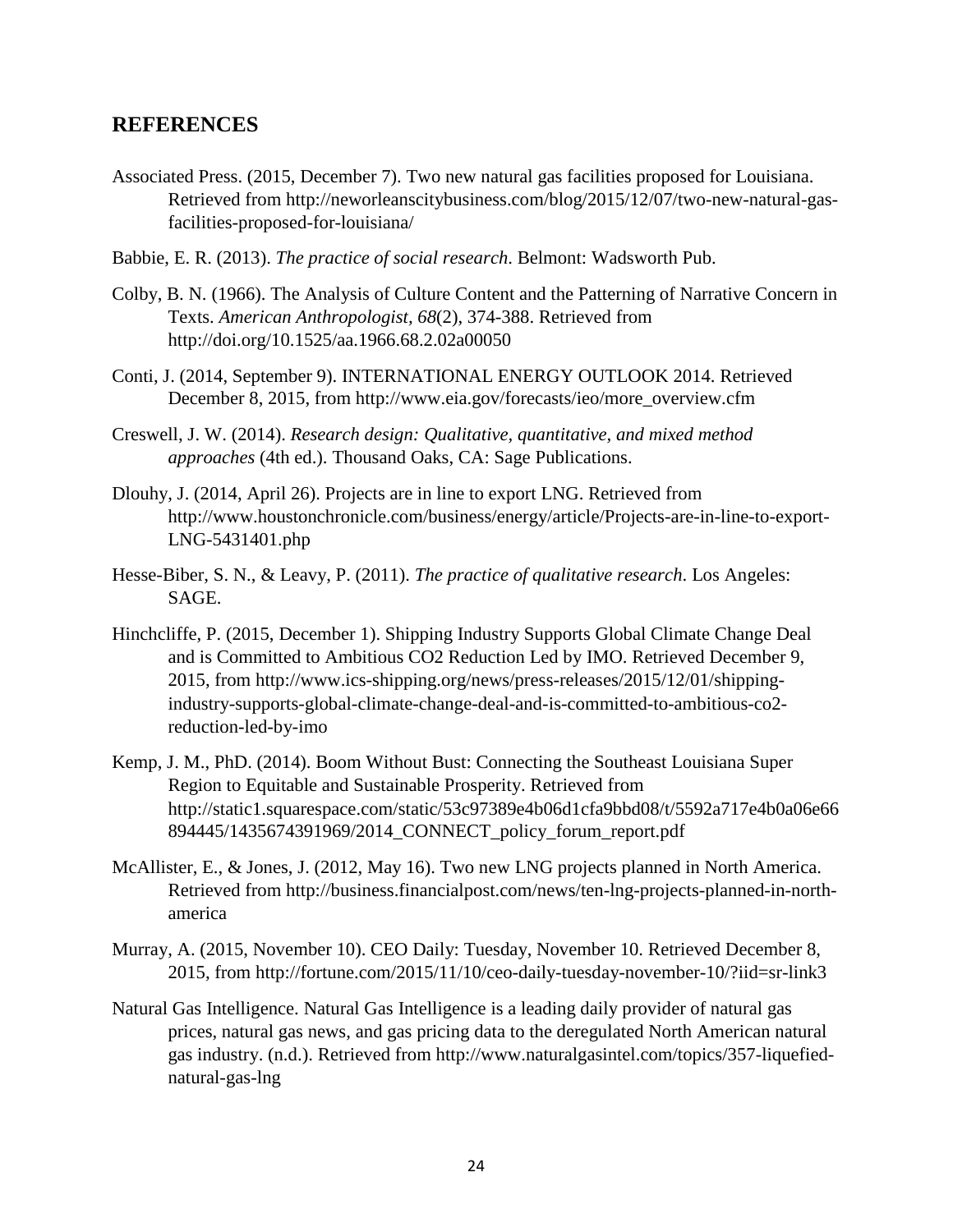## **REFERENCES**

- Associated Press. (2015, December 7). Two new natural gas facilities proposed for Louisiana. Retrieved from http://neworleanscitybusiness.com/blog/2015/12/07/two-new-natural-gasfacilities-proposed-for-louisiana/
- Babbie, E. R. (2013). *The practice of social research*. Belmont: Wadsworth Pub.
- Colby, B. N. (1966). The Analysis of Culture Content and the Patterning of Narrative Concern in Texts. *American Anthropologist, 68*(2), 374-388. Retrieved from http://doi.org/10.1525/aa.1966.68.2.02a00050
- Conti, J. (2014, September 9). INTERNATIONAL ENERGY OUTLOOK 2014. Retrieved December 8, 2015, from http://www.eia.gov/forecasts/ieo/more\_overview.cfm
- Creswell, J. W. (2014). *Research design: Qualitative, quantitative, and mixed method approaches* (4th ed.). Thousand Oaks, CA: Sage Publications.
- Dlouhy, J. (2014, April 26). Projects are in line to export LNG. Retrieved from http://www.houstonchronicle.com/business/energy/article/Projects-are-in-line-to-export-LNG-5431401.php
- Hesse-Biber, S. N., & Leavy, P. (2011). *The practice of qualitative research*. Los Angeles: SAGE.
- Hinchcliffe, P. (2015, December 1). Shipping Industry Supports Global Climate Change Deal and is Committed to Ambitious CO2 Reduction Led by IMO. Retrieved December 9, 2015, from http://www.ics-shipping.org/news/press-releases/2015/12/01/shippingindustry-supports-global-climate-change-deal-and-is-committed-to-ambitious-co2 reduction-led-by-imo
- Kemp, J. M., PhD. (2014). Boom Without Bust: Connecting the Southeast Louisiana Super Region to Equitable and Sustainable Prosperity. Retrieved from http://static1.squarespace.com/static/53c97389e4b06d1cfa9bbd08/t/5592a717e4b0a06e66 894445/1435674391969/2014\_CONNECT\_policy\_forum\_report.pdf
- McAllister, E., & Jones, J. (2012, May 16). Two new LNG projects planned in North America. Retrieved from http://business.financialpost.com/news/ten-lng-projects-planned-in-northamerica
- Murray, A. (2015, November 10). CEO Daily: Tuesday, November 10. Retrieved December 8, 2015, from http://fortune.com/2015/11/10/ceo-daily-tuesday-november-10/?iid=sr-link3
- Natural Gas Intelligence. Natural Gas Intelligence is a leading daily provider of natural gas prices, natural gas news, and gas pricing data to the deregulated North American natural gas industry. (n.d.). Retrieved from http://www.naturalgasintel.com/topics/357-liquefiednatural-gas-lng